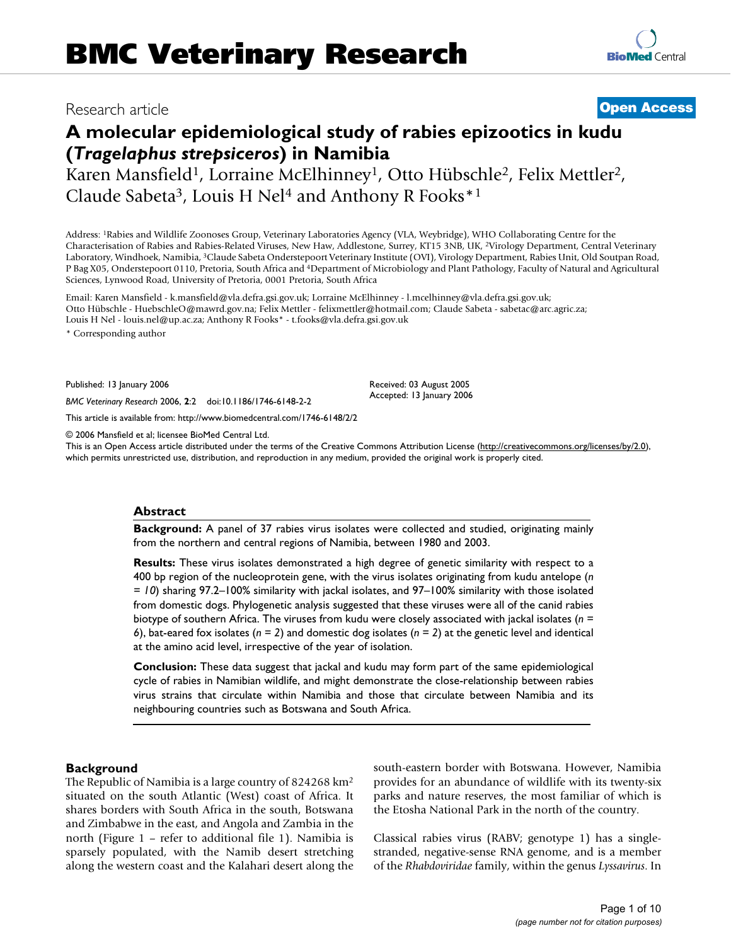## Research article **[Open Access](http://www.biomedcentral.com/info/about/charter/)**

# **A molecular epidemiological study of rabies epizootics in kudu (***Tragelaphus strepsiceros***) in Namibia**

Karen Mansfield<sup>1</sup>, Lorraine McElhinney<sup>1</sup>, Otto Hübschle<sup>2</sup>, Felix Mettler<sup>2</sup>, Claude Sabeta<sup>3</sup>, Louis H Nel<sup>4</sup> and Anthony R Fooks<sup>\*1</sup>

Address: 1Rabies and Wildlife Zoonoses Group, Veterinary Laboratories Agency (VLA, Weybridge), WHO Collaborating Centre for the Characterisation of Rabies and Rabies-Related Viruses, New Haw, Addlestone, Surrey, KT15 3NB, UK, 2Virology Department, Central Veterinary Laboratory, Windhoek, Namibia, 3Claude Sabeta Onderstepoort Veterinary Institute (OVI), Virology Department, Rabies Unit, Old Soutpan Road, P Bag X05, Onderstepoort 0110, Pretoria, South Africa and 4Department of Microbiology and Plant Pathology, Faculty of Natural and Agricultural Sciences, Lynwood Road, University of Pretoria, 0001 Pretoria, South Africa

Email: Karen Mansfield - k.mansfield@vla.defra.gsi.gov.uk; Lorraine McElhinney - l.mcelhinney@vla.defra.gsi.gov.uk; Otto Hübschle - HuebschleO@mawrd.gov.na; Felix Mettler - felixmettler@hotmail.com; Claude Sabeta - sabetac@arc.agric.za; Louis H Nel - louis.nel@up.ac.za; Anthony R Fooks\* - t.fooks@vla.defra.gsi.gov.uk

\* Corresponding author

Published: 13 January 2006

*BMC Veterinary Research* 2006, **2**:2 doi:10.1186/1746-6148-2-2

[This article is available from: http://www.biomedcentral.com/1746-6148/2/2](http://www.biomedcentral.com/1746-6148/2/2)

© 2006 Mansfield et al; licensee BioMed Central Ltd.

This is an Open Access article distributed under the terms of the Creative Commons Attribution License [\(http://creativecommons.org/licenses/by/2.0\)](http://creativecommons.org/licenses/by/2.0), which permits unrestricted use, distribution, and reproduction in any medium, provided the original work is properly cited.

Received: 03 August 2005 Accepted: 13 January 2006

#### **Abstract**

**Background:** A panel of 37 rabies virus isolates were collected and studied, originating mainly from the northern and central regions of Namibia, between 1980 and 2003.

**Results:** These virus isolates demonstrated a high degree of genetic similarity with respect to a 400 bp region of the nucleoprotein gene, with the virus isolates originating from kudu antelope (*n = 10*) sharing 97.2–100% similarity with jackal isolates, and 97–100% similarity with those isolated from domestic dogs. Phylogenetic analysis suggested that these viruses were all of the canid rabies biotype of southern Africa. The viruses from kudu were closely associated with jackal isolates (*n = 6*), bat-eared fox isolates (*n = 2*) and domestic dog isolates (*n = 2*) at the genetic level and identical at the amino acid level, irrespective of the year of isolation.

**Conclusion:** These data suggest that jackal and kudu may form part of the same epidemiological cycle of rabies in Namibian wildlife, and might demonstrate the close-relationship between rabies virus strains that circulate within Namibia and those that circulate between Namibia and its neighbouring countries such as Botswana and South Africa.

#### **Background**

The Republic of Namibia is a large country of 824268 km2 situated on the south Atlantic (West) coast of Africa. It shares borders with South Africa in the south, Botswana and Zimbabwe in the east, and Angola and Zambia in the north (Figure 1 – refer to additional file 1). Namibia is sparsely populated, with the Namib desert stretching along the western coast and the Kalahari desert along the south-eastern border with Botswana. However, Namibia provides for an abundance of wildlife with its twenty-six parks and nature reserves, the most familiar of which is the Etosha National Park in the north of the country.

Classical rabies virus (RABV; genotype 1) has a singlestranded, negative-sense RNA genome, and is a member of the *Rhabdoviridae* family, within the genus *Lyssavirus*. In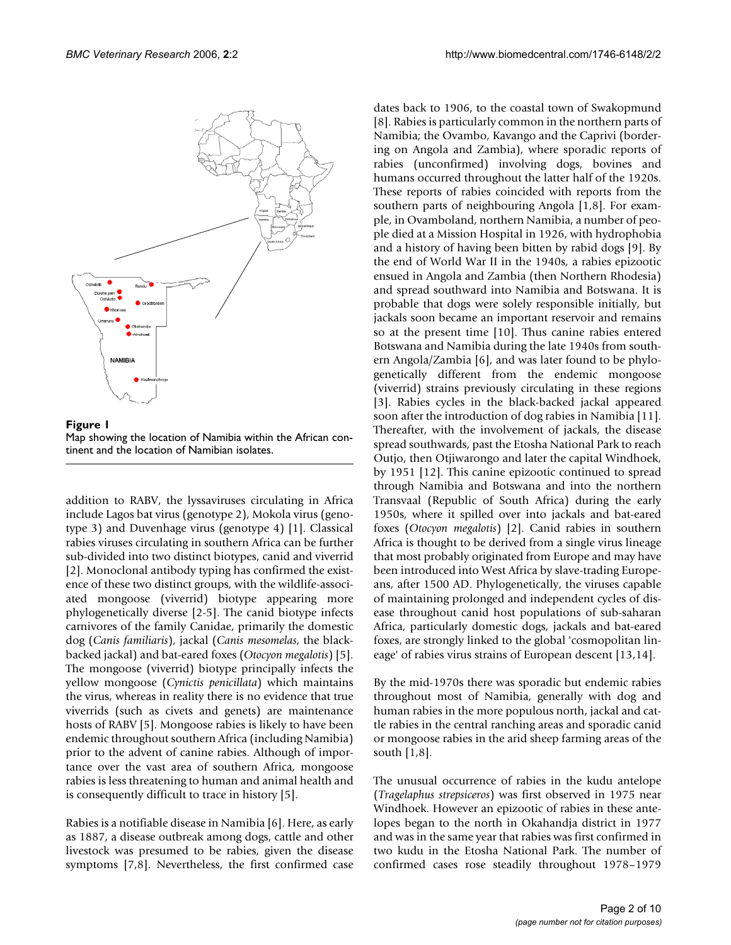



addition to RABV, the lyssaviruses circulating in Africa include Lagos bat virus (genotype 2), Mokola virus (genotype 3) and Duvenhage virus (genotype 4) [1]. Classical rabies viruses circulating in southern Africa can be further sub-divided into two distinct biotypes, canid and viverrid [2]. Monoclonal antibody typing has confirmed the existence of these two distinct groups, with the wildlife-associated mongoose (viverrid) biotype appearing more phylogenetically diverse [2-5]. The canid biotype infects carnivores of the family Canidae, primarily the domestic dog (*Canis familiaris*), jackal (*Canis mesomelas*, the blackbacked jackal) and bat-eared foxes (*Otocyon megalotis*) [5]. The mongoose (viverrid) biotype principally infects the yellow mongoose (*Cynictis penicillata*) which maintains the virus, whereas in reality there is no evidence that true viverrids (such as civets and genets) are maintenance hosts of RABV [5]. Mongoose rabies is likely to have been endemic throughout southern Africa (including Namibia) prior to the advent of canine rabies. Although of importance over the vast area of southern Africa, mongoose rabies is less threatening to human and animal health and is consequently difficult to trace in history [5].

Rabies is a notifiable disease in Namibia [6]. Here, as early as 1887, a disease outbreak among dogs, cattle and other livestock was presumed to be rabies, given the disease symptoms [7,8]. Nevertheless, the first confirmed case

dates back to 1906, to the coastal town of Swakopmund [8]. Rabies is particularly common in the northern parts of Namibia; the Ovambo, Kavango and the Caprivi (bordering on Angola and Zambia), where sporadic reports of rabies (unconfirmed) involving dogs, bovines and humans occurred throughout the latter half of the 1920s. These reports of rabies coincided with reports from the southern parts of neighbouring Angola [1,8]. For example, in Ovamboland, northern Namibia, a number of people died at a Mission Hospital in 1926, with hydrophobia and a history of having been bitten by rabid dogs [9]. By the end of World War II in the 1940s, a rabies epizootic ensued in Angola and Zambia (then Northern Rhodesia) and spread southward into Namibia and Botswana. It is probable that dogs were solely responsible initially, but jackals soon became an important reservoir and remains so at the present time [10]. Thus canine rabies entered Botswana and Namibia during the late 1940s from southern Angola/Zambia [6], and was later found to be phylogenetically different from the endemic mongoose (viverrid) strains previously circulating in these regions [3]. Rabies cycles in the black-backed jackal appeared soon after the introduction of dog rabies in Namibia [11]. Thereafter, with the involvement of jackals, the disease spread southwards, past the Etosha National Park to reach Outjo, then Otjiwarongo and later the capital Windhoek, by 1951 [12]. This canine epizootic continued to spread through Namibia and Botswana and into the northern Transvaal (Republic of South Africa) during the early 1950s, where it spilled over into jackals and bat-eared foxes (*Otocyon megalotis*) [2]. Canid rabies in southern Africa is thought to be derived from a single virus lineage that most probably originated from Europe and may have been introduced into West Africa by slave-trading Europeans, after 1500 AD. Phylogenetically, the viruses capable of maintaining prolonged and independent cycles of disease throughout canid host populations of sub-saharan Africa, particularly domestic dogs, jackals and bat-eared foxes, are strongly linked to the global 'cosmopolitan lineage' of rabies virus strains of European descent [13,14].

By the mid-1970s there was sporadic but endemic rabies throughout most of Namibia, generally with dog and human rabies in the more populous north, jackal and cattle rabies in the central ranching areas and sporadic canid or mongoose rabies in the arid sheep farming areas of the south [1,8].

The unusual occurrence of rabies in the kudu antelope (*Tragelaphus strepsiceros*) was first observed in 1975 near Windhoek. However an epizootic of rabies in these antelopes began to the north in Okahandja district in 1977 and was in the same year that rabies was first confirmed in two kudu in the Etosha National Park. The number of confirmed cases rose steadily throughout 1978–1979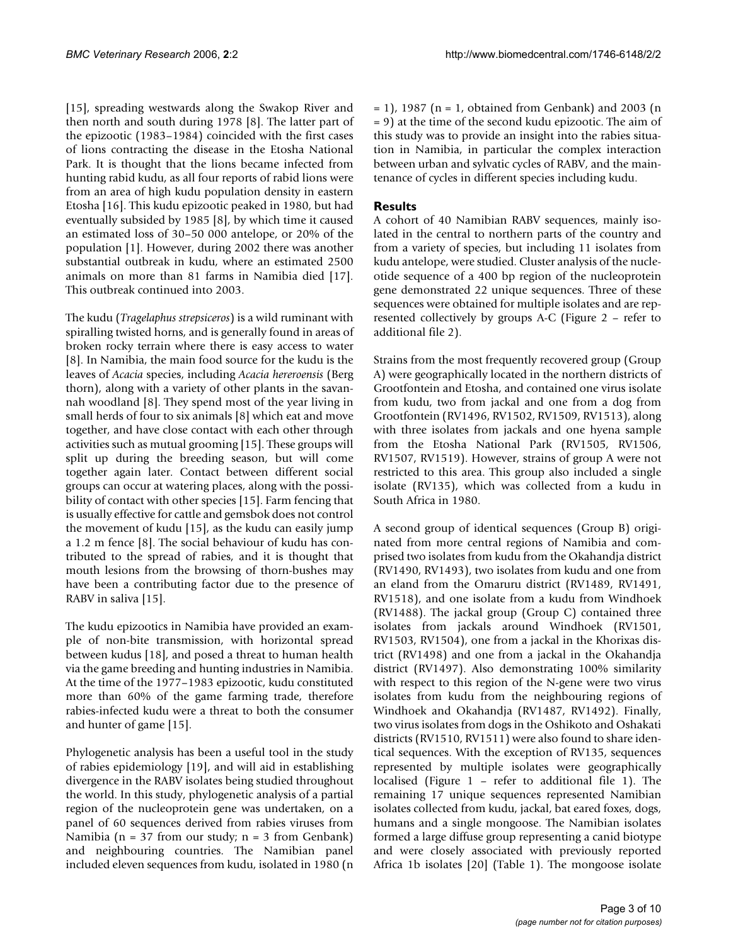[15], spreading westwards along the Swakop River and then north and south during 1978 [8]. The latter part of the epizootic (1983–1984) coincided with the first cases of lions contracting the disease in the Etosha National Park. It is thought that the lions became infected from hunting rabid kudu, as all four reports of rabid lions were from an area of high kudu population density in eastern Etosha [16]. This kudu epizootic peaked in 1980, but had eventually subsided by 1985 [8], by which time it caused an estimated loss of 30–50 000 antelope, or 20% of the population [1]. However, during 2002 there was another substantial outbreak in kudu, where an estimated 2500 animals on more than 81 farms in Namibia died [17]. This outbreak continued into 2003.

The kudu (*Tragelaphus strepsiceros*) is a wild ruminant with spiralling twisted horns, and is generally found in areas of broken rocky terrain where there is easy access to water [8]. In Namibia, the main food source for the kudu is the leaves of *Acacia* species, including *Acacia hereroensis* (Berg thorn), along with a variety of other plants in the savannah woodland [8]. They spend most of the year living in small herds of four to six animals [8] which eat and move together, and have close contact with each other through activities such as mutual grooming [15]. These groups will split up during the breeding season, but will come together again later. Contact between different social groups can occur at watering places, along with the possibility of contact with other species [15]. Farm fencing that is usually effective for cattle and gemsbok does not control the movement of kudu [15], as the kudu can easily jump a 1.2 m fence [8]. The social behaviour of kudu has contributed to the spread of rabies, and it is thought that mouth lesions from the browsing of thorn-bushes may have been a contributing factor due to the presence of RABV in saliva [15].

The kudu epizootics in Namibia have provided an example of non-bite transmission, with horizontal spread between kudus [[18](#page-9-0)], and posed a threat to human health via the game breeding and hunting industries in Namibia. At the time of the 1977–1983 epizootic, kudu constituted more than 60% of the game farming trade, therefore rabies-infected kudu were a threat to both the consumer and hunter of game [15].

Phylogenetic analysis has been a useful tool in the study of rabies epidemiology [19], and will aid in establishing divergence in the RABV isolates being studied throughout the world. In this study, phylogenetic analysis of a partial region of the nucleoprotein gene was undertaken, on a panel of 60 sequences derived from rabies viruses from Namibia ( $n = 37$  from our study;  $n = 3$  from Genbank) and neighbouring countries. The Namibian panel included eleven sequences from kudu, isolated in 1980 (n

 $= 1$ ), 1987 (n = 1, obtained from Genbank) and 2003 (n = 9) at the time of the second kudu epizootic. The aim of this study was to provide an insight into the rabies situation in Namibia, in particular the complex interaction between urban and sylvatic cycles of RABV, and the maintenance of cycles in different species including kudu.

### **Results**

A cohort of 40 Namibian RABV sequences, mainly isolated in the central to northern parts of the country and from a variety of species, but including 11 isolates from kudu antelope, were studied. Cluster analysis of the nucleotide sequence of a 400 bp region of the nucleoprotein gene demonstrated 22 unique sequences. Three of these sequences were obtained for multiple isolates and are represented collectively by groups A-C (Figure 2 – refer to additional file 2).

Strains from the most frequently recovered group (Group A) were geographically located in the northern districts of Grootfontein and Etosha, and contained one virus isolate from kudu, two from jackal and one from a dog from Grootfontein (RV1496, RV1502, RV1509, RV1513), along with three isolates from jackals and one hyena sample from the Etosha National Park (RV1505, RV1506, RV1507, RV1519). However, strains of group A were not restricted to this area. This group also included a single isolate (RV135), which was collected from a kudu in South Africa in 1980.

A second group of identical sequences (Group B) originated from more central regions of Namibia and comprised two isolates from kudu from the Okahandja district (RV1490, RV1493), two isolates from kudu and one from an eland from the Omaruru district (RV1489, RV1491, RV1518), and one isolate from a kudu from Windhoek (RV1488). The jackal group (Group C) contained three isolates from jackals around Windhoek (RV1501, RV1503, RV1504), one from a jackal in the Khorixas district (RV1498) and one from a jackal in the Okahandja district (RV1497). Also demonstrating 100% similarity with respect to this region of the N-gene were two virus isolates from kudu from the neighbouring regions of Windhoek and Okahandja (RV1487, RV1492). Finally, two virus isolates from dogs in the Oshikoto and Oshakati districts (RV1510, RV1511) were also found to share identical sequences. With the exception of RV135, sequences represented by multiple isolates were geographically localised (Figure 1 – refer to additional file 1). The remaining 17 unique sequences represented Namibian isolates collected from kudu, jackal, bat eared foxes, dogs, humans and a single mongoose. The Namibian isolates formed a large diffuse group representing a canid biotype and were closely associated with previously reported Africa 1b isolates [20] (Table 1). The mongoose isolate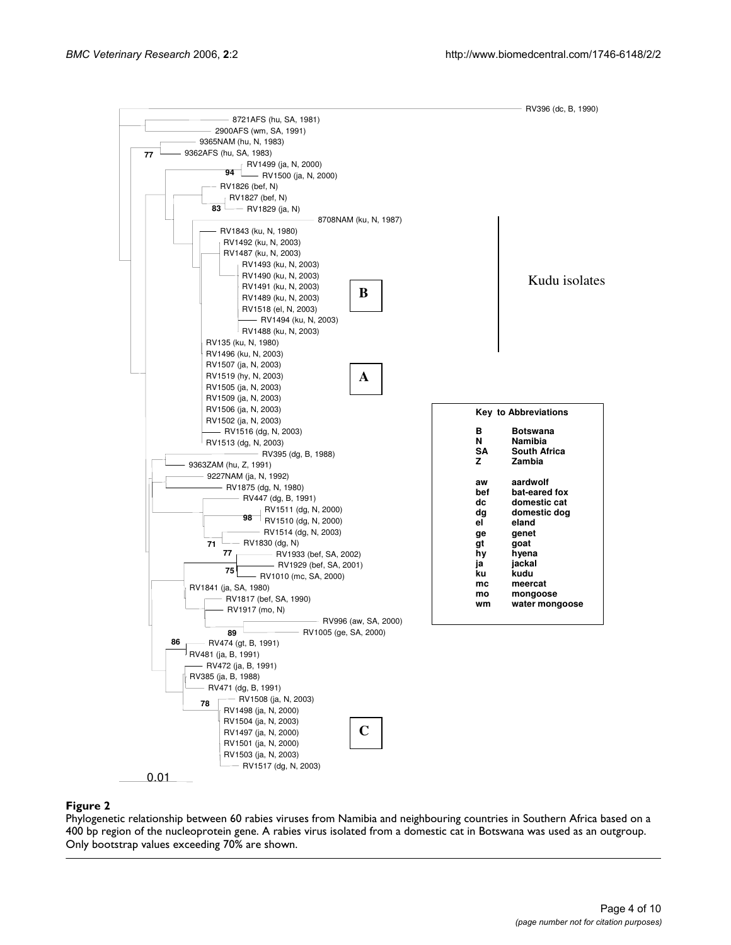

#### Phylogenetic relationship between 60 rabies 400 bp region of the nucleoprotein gene **Figure 2** viruses from Namibia and neighbouring countries in Southern Africa based on a

Phylogenetic relationship between 60 rabies viruses from Namibia and neighbouring countries in Southern Africa based on a 400 bp region of the nucleoprotein gene. A rabies virus isolated from a domestic cat in Botswana was used as an outgroup. Only bootstrap values exceeding 70% are shown.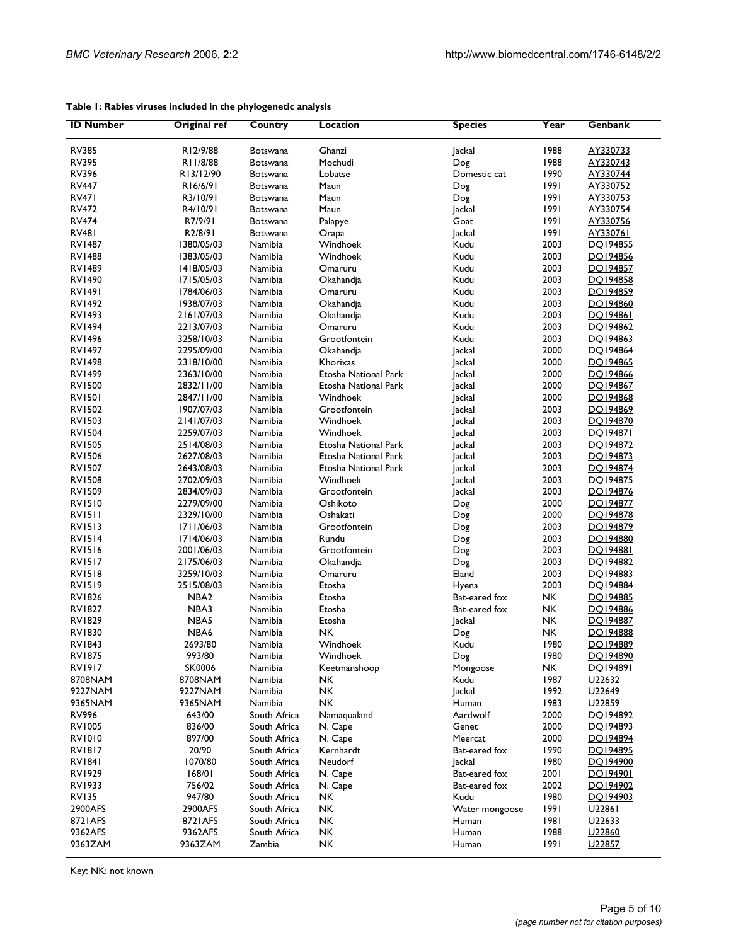| <b>RV385</b><br>R12/9/88<br>Ghanzi<br>Jackal<br>1988<br>AY330733<br><b>Botswana</b><br><b>RV395</b><br>Mochudi<br>Dog<br>1988<br>AY330743<br>R11/8/88<br><b>Botswana</b><br><b>RV396</b><br>R13/12/90<br>Lobatse<br>Domestic cat<br>1990<br>AY330744<br><b>Botswana</b><br><b>RV447</b><br>R16/6/91<br>Maun<br>1991<br>AY330752<br><b>Botswana</b><br>Dog<br><b>RV471</b><br>1991<br>R3/10/91<br>Maun<br>AY330753<br><b>Botswana</b><br>Dog<br><b>RV472</b><br>R4/10/91<br>Maun<br>1991<br>AY330754<br>Botswana<br>Jackal<br><b>RV474</b><br>R7/9/91<br>1991<br>Goat<br>AY330756<br>Botswana<br>Palapye<br><b>RV481</b><br>R2/8/91<br>Jackal<br>1991<br>AY330761<br><b>Botswana</b><br>Orapa<br><b>RV1487</b><br>1380/05/03<br>Namibia<br>Windhoek<br>Kudu<br>2003<br>DO194855<br>2003<br>DO194856<br><b>RV1488</b><br>1383/05/03<br>Namibia<br>Windhoek<br>Kudu<br>Kudu<br><b>RV1489</b><br>Namibia<br>Omaruru<br>2003<br>DO194857<br>1418/05/03<br>2003<br>RV1490<br>Kudu<br>DO194858<br>1715/05/03<br>Namibia<br>Okahandja<br><b>RV1491</b><br>1784/06/03<br>Namibia<br>Omaruru<br>Kudu<br>2003<br>DO194859<br><b>RV1492</b><br>1938/07/03<br>Namibia<br>Kudu<br>2003<br>DO194860<br>Okahandja<br>Kudu<br>2003<br><b>RV1493</b><br>2161/07/03<br>Namibia<br>DO194861<br>Okahandja<br>2003<br><b>RV1494</b><br>2213/07/03<br>Kudu<br>DO194862<br>Namibia<br>Omaruru<br>2003<br><b>RV1496</b><br>3258/10/03<br>Namibia<br>Grootfontein<br>Kudu<br>DO194863<br>2000<br><b>RV1497</b><br>2295/09/00<br>Namibia<br>Okahandja<br><b>Jackal</b><br>DO194864<br>2000<br><b>RV1498</b><br>Namibia<br>Khorixas<br>Jackal<br>DO194865<br>2318/10/00<br><b>RV1499</b><br>Namibia<br>Etosha National Park<br>Jackal<br>2000<br>DO194866<br>2363/10/00<br><b>RV1500</b><br>2000<br>DQ194867<br>2832/11/00<br>Namibia<br>Etosha National Park<br><b>Jackal</b><br><b>RV1501</b><br>Namibia<br>Windhoek<br>Jackal<br>2000<br>DO194868<br>2847/11/00<br>2003<br>RV1502<br>1907/07/03<br>Namibia<br>Grootfontein<br>Jackal<br>DO194869<br>2003<br><b>RV1503</b><br>2141/07/03<br>Namibia<br>Windhoek<br><b>Jackal</b><br>DO194870<br><b>RV1504</b><br>2259/07/03<br>Namibia<br>Windhoek<br><b>Jackal</b><br>2003<br>DO194871<br>2003<br><b>RV1505</b><br>2514/08/03<br>Namibia<br>Etosha National Park<br><b>Jackal</b><br>DO194872<br><b>RV1506</b><br><b>Jackal</b><br>2003<br>DO194873<br>2627/08/03<br>Namibia<br>Etosha National Park<br><b>RV1507</b><br>2643/08/03<br>Namibia<br><b>Etosha National Park</b><br><b>Jackal</b><br>2003<br>DO194874<br>2003<br><b>RV1508</b><br>2702/09/03<br>Namibia<br>Windhoek<br><b>Jackal</b><br>DO194875<br><b>RV1509</b><br>2834/09/03<br>2003<br>DO194876<br>Namibia<br>Grootfontein<br><b>Jackal</b><br><b>RV1510</b><br>2279/09/00<br>Oshikoto<br>2000<br>Namibia<br>Dog<br>DO194877<br>Oshakati<br>2000<br>DO194878<br><b>RV1511</b><br>2329/10/00<br>Namibia<br>Dog<br><b>RV1513</b><br>1711/06/03<br>Namibia<br>Grootfontein<br>2003<br>DO194879<br>Dog<br><b>RV1514</b><br>Rundu<br>2003<br>1714/06/03<br>Namibia<br>Dog<br>DO194880<br>2003<br><b>RV1516</b><br>2001/06/03<br>Namibia<br>Grootfontein<br>DO194881<br>Dog<br><b>RV1517</b><br>2175/06/03<br>Namibia<br>Okahandja<br>Dog<br>2003<br>DO194882<br>Eland<br>2003<br><b>RV1518</b><br>3259/10/03<br>Omaruru<br>DO194883<br>Namibia<br><b>RV1519</b><br>2515/08/03<br>Namibia<br>Etosha<br>2003<br>DO194884<br>Hyena<br><b>RV1826</b><br>NBA <sub>2</sub><br>Namibia<br>Etosha<br>Bat-eared fox<br>NΚ<br>DO194885<br><b>RV1827</b><br>NBA3<br>Namibia<br>Etosha<br>Bat-eared fox<br><b>NK</b><br>DO194886<br><b>RV1829</b><br>NBA5<br>Etosha<br>NΚ<br>Namibia<br>Jackal<br>DO194887<br>NBA6<br><b>NK</b><br><b>RV1830</b><br>Namibia<br>NΚ<br>DO194888<br>Dog<br><b>RV1843</b><br>2693/80<br>Windhoek<br>Kudu<br>1980<br>DO194889<br>Namibia<br><b>RV1875</b><br>993/80<br>1980<br>DO194890<br>Namibia<br>Windhoek<br>Dog<br><b>RV1917</b><br>SK0006<br>NΚ<br>DO194891<br>Namibia<br>Keetmanshoop<br>Mongoose<br>Kudu<br>1987<br>U22632<br>8708NAM<br>8708NAM<br>Namibia<br>NK<br>9227NAM<br>NK<br>1992<br>U22649<br>9227NAM<br>Namibia<br>Jackal<br>9365NAM<br>9365NAM<br>Namibia<br>NΚ<br>Human<br>1983<br>U22859<br><b>RV996</b><br>2000<br>643/00<br>South Africa<br>Namaqualand<br>Aardwolf<br>DO194892<br>RV1005<br>836/00<br>Genet<br>2000<br>DQ194893<br>South Africa<br>N. Cape<br>897/00<br>2000<br><b>RV1010</b><br>South Africa<br>N. Cape<br>Meercat<br>DO194894<br>20/90<br>1990<br><b>RV1817</b><br>South Africa<br>Kernhardt<br>Bat-eared fox<br>DO194895<br><b>RV1841</b><br>1070/80<br>1980<br>South Africa<br>Neudorf<br><b>Jackal</b><br>DO194900<br>RV1929<br>168/01<br>2001<br>DQ19490L<br>South Africa<br>N. Cape<br>Bat-eared fox<br>RV1933<br>756/02<br>South Africa<br>N. Cape<br>Bat-eared fox<br>2002<br>DO194902<br><b>RV135</b><br>947/80<br>1980<br>NΚ<br>Kudu<br>DO194903<br>South Africa<br>1991<br>2900AFS<br>2900AFS<br>South Africa<br>NK<br>Water mongoose<br>U22861<br>8721AFS<br>NK<br>1981<br>U22633<br>8721AFS<br>South Africa<br>Human<br>9362AFS<br>NK<br>1988<br>9362AFS<br>South Africa<br>Human<br>U22860<br>9363ZAM<br>NK<br>1991<br>9363ZAM<br>Zambia<br>Human<br>U22857 | <b>ID Number</b> | Original ref | Country | Location | <b>Species</b> | Year | Genbank |
|------------------------------------------------------------------------------------------------------------------------------------------------------------------------------------------------------------------------------------------------------------------------------------------------------------------------------------------------------------------------------------------------------------------------------------------------------------------------------------------------------------------------------------------------------------------------------------------------------------------------------------------------------------------------------------------------------------------------------------------------------------------------------------------------------------------------------------------------------------------------------------------------------------------------------------------------------------------------------------------------------------------------------------------------------------------------------------------------------------------------------------------------------------------------------------------------------------------------------------------------------------------------------------------------------------------------------------------------------------------------------------------------------------------------------------------------------------------------------------------------------------------------------------------------------------------------------------------------------------------------------------------------------------------------------------------------------------------------------------------------------------------------------------------------------------------------------------------------------------------------------------------------------------------------------------------------------------------------------------------------------------------------------------------------------------------------------------------------------------------------------------------------------------------------------------------------------------------------------------------------------------------------------------------------------------------------------------------------------------------------------------------------------------------------------------------------------------------------------------------------------------------------------------------------------------------------------------------------------------------------------------------------------------------------------------------------------------------------------------------------------------------------------------------------------------------------------------------------------------------------------------------------------------------------------------------------------------------------------------------------------------------------------------------------------------------------------------------------------------------------------------------------------------------------------------------------------------------------------------------------------------------------------------------------------------------------------------------------------------------------------------------------------------------------------------------------------------------------------------------------------------------------------------------------------------------------------------------------------------------------------------------------------------------------------------------------------------------------------------------------------------------------------------------------------------------------------------------------------------------------------------------------------------------------------------------------------------------------------------------------------------------------------------------------------------------------------------------------------------------------------------------------------------------------------------------------------------------------------------------------------------------------------------------------------------------------------------------------------------------------------------------------------------------------------------------------------------------------------------------------------------------------------------------------------------------------------------------------------------------------------------------------------------------------------------------------------------------------------------------------------------------------------------------------------------------------------------------------------------------------------------------------------------------------------------------------------------------------------------------------------------------------------------------------------------------------------------------------------------------------------------------------------------------------------------------------------------------------|------------------|--------------|---------|----------|----------------|------|---------|
|                                                                                                                                                                                                                                                                                                                                                                                                                                                                                                                                                                                                                                                                                                                                                                                                                                                                                                                                                                                                                                                                                                                                                                                                                                                                                                                                                                                                                                                                                                                                                                                                                                                                                                                                                                                                                                                                                                                                                                                                                                                                                                                                                                                                                                                                                                                                                                                                                                                                                                                                                                                                                                                                                                                                                                                                                                                                                                                                                                                                                                                                                                                                                                                                                                                                                                                                                                                                                                                                                                                                                                                                                                                                                                                                                                                                                                                                                                                                                                                                                                                                                                                                                                                                                                                                                                                                                                                                                                                                                                                                                                                                                                                                                                                                                                                                                                                                                                                                                                                                                                                                                                                                                                                                                        |                  |              |         |          |                |      |         |
|                                                                                                                                                                                                                                                                                                                                                                                                                                                                                                                                                                                                                                                                                                                                                                                                                                                                                                                                                                                                                                                                                                                                                                                                                                                                                                                                                                                                                                                                                                                                                                                                                                                                                                                                                                                                                                                                                                                                                                                                                                                                                                                                                                                                                                                                                                                                                                                                                                                                                                                                                                                                                                                                                                                                                                                                                                                                                                                                                                                                                                                                                                                                                                                                                                                                                                                                                                                                                                                                                                                                                                                                                                                                                                                                                                                                                                                                                                                                                                                                                                                                                                                                                                                                                                                                                                                                                                                                                                                                                                                                                                                                                                                                                                                                                                                                                                                                                                                                                                                                                                                                                                                                                                                                                        |                  |              |         |          |                |      |         |
|                                                                                                                                                                                                                                                                                                                                                                                                                                                                                                                                                                                                                                                                                                                                                                                                                                                                                                                                                                                                                                                                                                                                                                                                                                                                                                                                                                                                                                                                                                                                                                                                                                                                                                                                                                                                                                                                                                                                                                                                                                                                                                                                                                                                                                                                                                                                                                                                                                                                                                                                                                                                                                                                                                                                                                                                                                                                                                                                                                                                                                                                                                                                                                                                                                                                                                                                                                                                                                                                                                                                                                                                                                                                                                                                                                                                                                                                                                                                                                                                                                                                                                                                                                                                                                                                                                                                                                                                                                                                                                                                                                                                                                                                                                                                                                                                                                                                                                                                                                                                                                                                                                                                                                                                                        |                  |              |         |          |                |      |         |
|                                                                                                                                                                                                                                                                                                                                                                                                                                                                                                                                                                                                                                                                                                                                                                                                                                                                                                                                                                                                                                                                                                                                                                                                                                                                                                                                                                                                                                                                                                                                                                                                                                                                                                                                                                                                                                                                                                                                                                                                                                                                                                                                                                                                                                                                                                                                                                                                                                                                                                                                                                                                                                                                                                                                                                                                                                                                                                                                                                                                                                                                                                                                                                                                                                                                                                                                                                                                                                                                                                                                                                                                                                                                                                                                                                                                                                                                                                                                                                                                                                                                                                                                                                                                                                                                                                                                                                                                                                                                                                                                                                                                                                                                                                                                                                                                                                                                                                                                                                                                                                                                                                                                                                                                                        |                  |              |         |          |                |      |         |
|                                                                                                                                                                                                                                                                                                                                                                                                                                                                                                                                                                                                                                                                                                                                                                                                                                                                                                                                                                                                                                                                                                                                                                                                                                                                                                                                                                                                                                                                                                                                                                                                                                                                                                                                                                                                                                                                                                                                                                                                                                                                                                                                                                                                                                                                                                                                                                                                                                                                                                                                                                                                                                                                                                                                                                                                                                                                                                                                                                                                                                                                                                                                                                                                                                                                                                                                                                                                                                                                                                                                                                                                                                                                                                                                                                                                                                                                                                                                                                                                                                                                                                                                                                                                                                                                                                                                                                                                                                                                                                                                                                                                                                                                                                                                                                                                                                                                                                                                                                                                                                                                                                                                                                                                                        |                  |              |         |          |                |      |         |
|                                                                                                                                                                                                                                                                                                                                                                                                                                                                                                                                                                                                                                                                                                                                                                                                                                                                                                                                                                                                                                                                                                                                                                                                                                                                                                                                                                                                                                                                                                                                                                                                                                                                                                                                                                                                                                                                                                                                                                                                                                                                                                                                                                                                                                                                                                                                                                                                                                                                                                                                                                                                                                                                                                                                                                                                                                                                                                                                                                                                                                                                                                                                                                                                                                                                                                                                                                                                                                                                                                                                                                                                                                                                                                                                                                                                                                                                                                                                                                                                                                                                                                                                                                                                                                                                                                                                                                                                                                                                                                                                                                                                                                                                                                                                                                                                                                                                                                                                                                                                                                                                                                                                                                                                                        |                  |              |         |          |                |      |         |
|                                                                                                                                                                                                                                                                                                                                                                                                                                                                                                                                                                                                                                                                                                                                                                                                                                                                                                                                                                                                                                                                                                                                                                                                                                                                                                                                                                                                                                                                                                                                                                                                                                                                                                                                                                                                                                                                                                                                                                                                                                                                                                                                                                                                                                                                                                                                                                                                                                                                                                                                                                                                                                                                                                                                                                                                                                                                                                                                                                                                                                                                                                                                                                                                                                                                                                                                                                                                                                                                                                                                                                                                                                                                                                                                                                                                                                                                                                                                                                                                                                                                                                                                                                                                                                                                                                                                                                                                                                                                                                                                                                                                                                                                                                                                                                                                                                                                                                                                                                                                                                                                                                                                                                                                                        |                  |              |         |          |                |      |         |
|                                                                                                                                                                                                                                                                                                                                                                                                                                                                                                                                                                                                                                                                                                                                                                                                                                                                                                                                                                                                                                                                                                                                                                                                                                                                                                                                                                                                                                                                                                                                                                                                                                                                                                                                                                                                                                                                                                                                                                                                                                                                                                                                                                                                                                                                                                                                                                                                                                                                                                                                                                                                                                                                                                                                                                                                                                                                                                                                                                                                                                                                                                                                                                                                                                                                                                                                                                                                                                                                                                                                                                                                                                                                                                                                                                                                                                                                                                                                                                                                                                                                                                                                                                                                                                                                                                                                                                                                                                                                                                                                                                                                                                                                                                                                                                                                                                                                                                                                                                                                                                                                                                                                                                                                                        |                  |              |         |          |                |      |         |
|                                                                                                                                                                                                                                                                                                                                                                                                                                                                                                                                                                                                                                                                                                                                                                                                                                                                                                                                                                                                                                                                                                                                                                                                                                                                                                                                                                                                                                                                                                                                                                                                                                                                                                                                                                                                                                                                                                                                                                                                                                                                                                                                                                                                                                                                                                                                                                                                                                                                                                                                                                                                                                                                                                                                                                                                                                                                                                                                                                                                                                                                                                                                                                                                                                                                                                                                                                                                                                                                                                                                                                                                                                                                                                                                                                                                                                                                                                                                                                                                                                                                                                                                                                                                                                                                                                                                                                                                                                                                                                                                                                                                                                                                                                                                                                                                                                                                                                                                                                                                                                                                                                                                                                                                                        |                  |              |         |          |                |      |         |
|                                                                                                                                                                                                                                                                                                                                                                                                                                                                                                                                                                                                                                                                                                                                                                                                                                                                                                                                                                                                                                                                                                                                                                                                                                                                                                                                                                                                                                                                                                                                                                                                                                                                                                                                                                                                                                                                                                                                                                                                                                                                                                                                                                                                                                                                                                                                                                                                                                                                                                                                                                                                                                                                                                                                                                                                                                                                                                                                                                                                                                                                                                                                                                                                                                                                                                                                                                                                                                                                                                                                                                                                                                                                                                                                                                                                                                                                                                                                                                                                                                                                                                                                                                                                                                                                                                                                                                                                                                                                                                                                                                                                                                                                                                                                                                                                                                                                                                                                                                                                                                                                                                                                                                                                                        |                  |              |         |          |                |      |         |
|                                                                                                                                                                                                                                                                                                                                                                                                                                                                                                                                                                                                                                                                                                                                                                                                                                                                                                                                                                                                                                                                                                                                                                                                                                                                                                                                                                                                                                                                                                                                                                                                                                                                                                                                                                                                                                                                                                                                                                                                                                                                                                                                                                                                                                                                                                                                                                                                                                                                                                                                                                                                                                                                                                                                                                                                                                                                                                                                                                                                                                                                                                                                                                                                                                                                                                                                                                                                                                                                                                                                                                                                                                                                                                                                                                                                                                                                                                                                                                                                                                                                                                                                                                                                                                                                                                                                                                                                                                                                                                                                                                                                                                                                                                                                                                                                                                                                                                                                                                                                                                                                                                                                                                                                                        |                  |              |         |          |                |      |         |
|                                                                                                                                                                                                                                                                                                                                                                                                                                                                                                                                                                                                                                                                                                                                                                                                                                                                                                                                                                                                                                                                                                                                                                                                                                                                                                                                                                                                                                                                                                                                                                                                                                                                                                                                                                                                                                                                                                                                                                                                                                                                                                                                                                                                                                                                                                                                                                                                                                                                                                                                                                                                                                                                                                                                                                                                                                                                                                                                                                                                                                                                                                                                                                                                                                                                                                                                                                                                                                                                                                                                                                                                                                                                                                                                                                                                                                                                                                                                                                                                                                                                                                                                                                                                                                                                                                                                                                                                                                                                                                                                                                                                                                                                                                                                                                                                                                                                                                                                                                                                                                                                                                                                                                                                                        |                  |              |         |          |                |      |         |
|                                                                                                                                                                                                                                                                                                                                                                                                                                                                                                                                                                                                                                                                                                                                                                                                                                                                                                                                                                                                                                                                                                                                                                                                                                                                                                                                                                                                                                                                                                                                                                                                                                                                                                                                                                                                                                                                                                                                                                                                                                                                                                                                                                                                                                                                                                                                                                                                                                                                                                                                                                                                                                                                                                                                                                                                                                                                                                                                                                                                                                                                                                                                                                                                                                                                                                                                                                                                                                                                                                                                                                                                                                                                                                                                                                                                                                                                                                                                                                                                                                                                                                                                                                                                                                                                                                                                                                                                                                                                                                                                                                                                                                                                                                                                                                                                                                                                                                                                                                                                                                                                                                                                                                                                                        |                  |              |         |          |                |      |         |
|                                                                                                                                                                                                                                                                                                                                                                                                                                                                                                                                                                                                                                                                                                                                                                                                                                                                                                                                                                                                                                                                                                                                                                                                                                                                                                                                                                                                                                                                                                                                                                                                                                                                                                                                                                                                                                                                                                                                                                                                                                                                                                                                                                                                                                                                                                                                                                                                                                                                                                                                                                                                                                                                                                                                                                                                                                                                                                                                                                                                                                                                                                                                                                                                                                                                                                                                                                                                                                                                                                                                                                                                                                                                                                                                                                                                                                                                                                                                                                                                                                                                                                                                                                                                                                                                                                                                                                                                                                                                                                                                                                                                                                                                                                                                                                                                                                                                                                                                                                                                                                                                                                                                                                                                                        |                  |              |         |          |                |      |         |
|                                                                                                                                                                                                                                                                                                                                                                                                                                                                                                                                                                                                                                                                                                                                                                                                                                                                                                                                                                                                                                                                                                                                                                                                                                                                                                                                                                                                                                                                                                                                                                                                                                                                                                                                                                                                                                                                                                                                                                                                                                                                                                                                                                                                                                                                                                                                                                                                                                                                                                                                                                                                                                                                                                                                                                                                                                                                                                                                                                                                                                                                                                                                                                                                                                                                                                                                                                                                                                                                                                                                                                                                                                                                                                                                                                                                                                                                                                                                                                                                                                                                                                                                                                                                                                                                                                                                                                                                                                                                                                                                                                                                                                                                                                                                                                                                                                                                                                                                                                                                                                                                                                                                                                                                                        |                  |              |         |          |                |      |         |
|                                                                                                                                                                                                                                                                                                                                                                                                                                                                                                                                                                                                                                                                                                                                                                                                                                                                                                                                                                                                                                                                                                                                                                                                                                                                                                                                                                                                                                                                                                                                                                                                                                                                                                                                                                                                                                                                                                                                                                                                                                                                                                                                                                                                                                                                                                                                                                                                                                                                                                                                                                                                                                                                                                                                                                                                                                                                                                                                                                                                                                                                                                                                                                                                                                                                                                                                                                                                                                                                                                                                                                                                                                                                                                                                                                                                                                                                                                                                                                                                                                                                                                                                                                                                                                                                                                                                                                                                                                                                                                                                                                                                                                                                                                                                                                                                                                                                                                                                                                                                                                                                                                                                                                                                                        |                  |              |         |          |                |      |         |
|                                                                                                                                                                                                                                                                                                                                                                                                                                                                                                                                                                                                                                                                                                                                                                                                                                                                                                                                                                                                                                                                                                                                                                                                                                                                                                                                                                                                                                                                                                                                                                                                                                                                                                                                                                                                                                                                                                                                                                                                                                                                                                                                                                                                                                                                                                                                                                                                                                                                                                                                                                                                                                                                                                                                                                                                                                                                                                                                                                                                                                                                                                                                                                                                                                                                                                                                                                                                                                                                                                                                                                                                                                                                                                                                                                                                                                                                                                                                                                                                                                                                                                                                                                                                                                                                                                                                                                                                                                                                                                                                                                                                                                                                                                                                                                                                                                                                                                                                                                                                                                                                                                                                                                                                                        |                  |              |         |          |                |      |         |
|                                                                                                                                                                                                                                                                                                                                                                                                                                                                                                                                                                                                                                                                                                                                                                                                                                                                                                                                                                                                                                                                                                                                                                                                                                                                                                                                                                                                                                                                                                                                                                                                                                                                                                                                                                                                                                                                                                                                                                                                                                                                                                                                                                                                                                                                                                                                                                                                                                                                                                                                                                                                                                                                                                                                                                                                                                                                                                                                                                                                                                                                                                                                                                                                                                                                                                                                                                                                                                                                                                                                                                                                                                                                                                                                                                                                                                                                                                                                                                                                                                                                                                                                                                                                                                                                                                                                                                                                                                                                                                                                                                                                                                                                                                                                                                                                                                                                                                                                                                                                                                                                                                                                                                                                                        |                  |              |         |          |                |      |         |
|                                                                                                                                                                                                                                                                                                                                                                                                                                                                                                                                                                                                                                                                                                                                                                                                                                                                                                                                                                                                                                                                                                                                                                                                                                                                                                                                                                                                                                                                                                                                                                                                                                                                                                                                                                                                                                                                                                                                                                                                                                                                                                                                                                                                                                                                                                                                                                                                                                                                                                                                                                                                                                                                                                                                                                                                                                                                                                                                                                                                                                                                                                                                                                                                                                                                                                                                                                                                                                                                                                                                                                                                                                                                                                                                                                                                                                                                                                                                                                                                                                                                                                                                                                                                                                                                                                                                                                                                                                                                                                                                                                                                                                                                                                                                                                                                                                                                                                                                                                                                                                                                                                                                                                                                                        |                  |              |         |          |                |      |         |
|                                                                                                                                                                                                                                                                                                                                                                                                                                                                                                                                                                                                                                                                                                                                                                                                                                                                                                                                                                                                                                                                                                                                                                                                                                                                                                                                                                                                                                                                                                                                                                                                                                                                                                                                                                                                                                                                                                                                                                                                                                                                                                                                                                                                                                                                                                                                                                                                                                                                                                                                                                                                                                                                                                                                                                                                                                                                                                                                                                                                                                                                                                                                                                                                                                                                                                                                                                                                                                                                                                                                                                                                                                                                                                                                                                                                                                                                                                                                                                                                                                                                                                                                                                                                                                                                                                                                                                                                                                                                                                                                                                                                                                                                                                                                                                                                                                                                                                                                                                                                                                                                                                                                                                                                                        |                  |              |         |          |                |      |         |
|                                                                                                                                                                                                                                                                                                                                                                                                                                                                                                                                                                                                                                                                                                                                                                                                                                                                                                                                                                                                                                                                                                                                                                                                                                                                                                                                                                                                                                                                                                                                                                                                                                                                                                                                                                                                                                                                                                                                                                                                                                                                                                                                                                                                                                                                                                                                                                                                                                                                                                                                                                                                                                                                                                                                                                                                                                                                                                                                                                                                                                                                                                                                                                                                                                                                                                                                                                                                                                                                                                                                                                                                                                                                                                                                                                                                                                                                                                                                                                                                                                                                                                                                                                                                                                                                                                                                                                                                                                                                                                                                                                                                                                                                                                                                                                                                                                                                                                                                                                                                                                                                                                                                                                                                                        |                  |              |         |          |                |      |         |
|                                                                                                                                                                                                                                                                                                                                                                                                                                                                                                                                                                                                                                                                                                                                                                                                                                                                                                                                                                                                                                                                                                                                                                                                                                                                                                                                                                                                                                                                                                                                                                                                                                                                                                                                                                                                                                                                                                                                                                                                                                                                                                                                                                                                                                                                                                                                                                                                                                                                                                                                                                                                                                                                                                                                                                                                                                                                                                                                                                                                                                                                                                                                                                                                                                                                                                                                                                                                                                                                                                                                                                                                                                                                                                                                                                                                                                                                                                                                                                                                                                                                                                                                                                                                                                                                                                                                                                                                                                                                                                                                                                                                                                                                                                                                                                                                                                                                                                                                                                                                                                                                                                                                                                                                                        |                  |              |         |          |                |      |         |
|                                                                                                                                                                                                                                                                                                                                                                                                                                                                                                                                                                                                                                                                                                                                                                                                                                                                                                                                                                                                                                                                                                                                                                                                                                                                                                                                                                                                                                                                                                                                                                                                                                                                                                                                                                                                                                                                                                                                                                                                                                                                                                                                                                                                                                                                                                                                                                                                                                                                                                                                                                                                                                                                                                                                                                                                                                                                                                                                                                                                                                                                                                                                                                                                                                                                                                                                                                                                                                                                                                                                                                                                                                                                                                                                                                                                                                                                                                                                                                                                                                                                                                                                                                                                                                                                                                                                                                                                                                                                                                                                                                                                                                                                                                                                                                                                                                                                                                                                                                                                                                                                                                                                                                                                                        |                  |              |         |          |                |      |         |
|                                                                                                                                                                                                                                                                                                                                                                                                                                                                                                                                                                                                                                                                                                                                                                                                                                                                                                                                                                                                                                                                                                                                                                                                                                                                                                                                                                                                                                                                                                                                                                                                                                                                                                                                                                                                                                                                                                                                                                                                                                                                                                                                                                                                                                                                                                                                                                                                                                                                                                                                                                                                                                                                                                                                                                                                                                                                                                                                                                                                                                                                                                                                                                                                                                                                                                                                                                                                                                                                                                                                                                                                                                                                                                                                                                                                                                                                                                                                                                                                                                                                                                                                                                                                                                                                                                                                                                                                                                                                                                                                                                                                                                                                                                                                                                                                                                                                                                                                                                                                                                                                                                                                                                                                                        |                  |              |         |          |                |      |         |
|                                                                                                                                                                                                                                                                                                                                                                                                                                                                                                                                                                                                                                                                                                                                                                                                                                                                                                                                                                                                                                                                                                                                                                                                                                                                                                                                                                                                                                                                                                                                                                                                                                                                                                                                                                                                                                                                                                                                                                                                                                                                                                                                                                                                                                                                                                                                                                                                                                                                                                                                                                                                                                                                                                                                                                                                                                                                                                                                                                                                                                                                                                                                                                                                                                                                                                                                                                                                                                                                                                                                                                                                                                                                                                                                                                                                                                                                                                                                                                                                                                                                                                                                                                                                                                                                                                                                                                                                                                                                                                                                                                                                                                                                                                                                                                                                                                                                                                                                                                                                                                                                                                                                                                                                                        |                  |              |         |          |                |      |         |
|                                                                                                                                                                                                                                                                                                                                                                                                                                                                                                                                                                                                                                                                                                                                                                                                                                                                                                                                                                                                                                                                                                                                                                                                                                                                                                                                                                                                                                                                                                                                                                                                                                                                                                                                                                                                                                                                                                                                                                                                                                                                                                                                                                                                                                                                                                                                                                                                                                                                                                                                                                                                                                                                                                                                                                                                                                                                                                                                                                                                                                                                                                                                                                                                                                                                                                                                                                                                                                                                                                                                                                                                                                                                                                                                                                                                                                                                                                                                                                                                                                                                                                                                                                                                                                                                                                                                                                                                                                                                                                                                                                                                                                                                                                                                                                                                                                                                                                                                                                                                                                                                                                                                                                                                                        |                  |              |         |          |                |      |         |
|                                                                                                                                                                                                                                                                                                                                                                                                                                                                                                                                                                                                                                                                                                                                                                                                                                                                                                                                                                                                                                                                                                                                                                                                                                                                                                                                                                                                                                                                                                                                                                                                                                                                                                                                                                                                                                                                                                                                                                                                                                                                                                                                                                                                                                                                                                                                                                                                                                                                                                                                                                                                                                                                                                                                                                                                                                                                                                                                                                                                                                                                                                                                                                                                                                                                                                                                                                                                                                                                                                                                                                                                                                                                                                                                                                                                                                                                                                                                                                                                                                                                                                                                                                                                                                                                                                                                                                                                                                                                                                                                                                                                                                                                                                                                                                                                                                                                                                                                                                                                                                                                                                                                                                                                                        |                  |              |         |          |                |      |         |
|                                                                                                                                                                                                                                                                                                                                                                                                                                                                                                                                                                                                                                                                                                                                                                                                                                                                                                                                                                                                                                                                                                                                                                                                                                                                                                                                                                                                                                                                                                                                                                                                                                                                                                                                                                                                                                                                                                                                                                                                                                                                                                                                                                                                                                                                                                                                                                                                                                                                                                                                                                                                                                                                                                                                                                                                                                                                                                                                                                                                                                                                                                                                                                                                                                                                                                                                                                                                                                                                                                                                                                                                                                                                                                                                                                                                                                                                                                                                                                                                                                                                                                                                                                                                                                                                                                                                                                                                                                                                                                                                                                                                                                                                                                                                                                                                                                                                                                                                                                                                                                                                                                                                                                                                                        |                  |              |         |          |                |      |         |
|                                                                                                                                                                                                                                                                                                                                                                                                                                                                                                                                                                                                                                                                                                                                                                                                                                                                                                                                                                                                                                                                                                                                                                                                                                                                                                                                                                                                                                                                                                                                                                                                                                                                                                                                                                                                                                                                                                                                                                                                                                                                                                                                                                                                                                                                                                                                                                                                                                                                                                                                                                                                                                                                                                                                                                                                                                                                                                                                                                                                                                                                                                                                                                                                                                                                                                                                                                                                                                                                                                                                                                                                                                                                                                                                                                                                                                                                                                                                                                                                                                                                                                                                                                                                                                                                                                                                                                                                                                                                                                                                                                                                                                                                                                                                                                                                                                                                                                                                                                                                                                                                                                                                                                                                                        |                  |              |         |          |                |      |         |
|                                                                                                                                                                                                                                                                                                                                                                                                                                                                                                                                                                                                                                                                                                                                                                                                                                                                                                                                                                                                                                                                                                                                                                                                                                                                                                                                                                                                                                                                                                                                                                                                                                                                                                                                                                                                                                                                                                                                                                                                                                                                                                                                                                                                                                                                                                                                                                                                                                                                                                                                                                                                                                                                                                                                                                                                                                                                                                                                                                                                                                                                                                                                                                                                                                                                                                                                                                                                                                                                                                                                                                                                                                                                                                                                                                                                                                                                                                                                                                                                                                                                                                                                                                                                                                                                                                                                                                                                                                                                                                                                                                                                                                                                                                                                                                                                                                                                                                                                                                                                                                                                                                                                                                                                                        |                  |              |         |          |                |      |         |
|                                                                                                                                                                                                                                                                                                                                                                                                                                                                                                                                                                                                                                                                                                                                                                                                                                                                                                                                                                                                                                                                                                                                                                                                                                                                                                                                                                                                                                                                                                                                                                                                                                                                                                                                                                                                                                                                                                                                                                                                                                                                                                                                                                                                                                                                                                                                                                                                                                                                                                                                                                                                                                                                                                                                                                                                                                                                                                                                                                                                                                                                                                                                                                                                                                                                                                                                                                                                                                                                                                                                                                                                                                                                                                                                                                                                                                                                                                                                                                                                                                                                                                                                                                                                                                                                                                                                                                                                                                                                                                                                                                                                                                                                                                                                                                                                                                                                                                                                                                                                                                                                                                                                                                                                                        |                  |              |         |          |                |      |         |
|                                                                                                                                                                                                                                                                                                                                                                                                                                                                                                                                                                                                                                                                                                                                                                                                                                                                                                                                                                                                                                                                                                                                                                                                                                                                                                                                                                                                                                                                                                                                                                                                                                                                                                                                                                                                                                                                                                                                                                                                                                                                                                                                                                                                                                                                                                                                                                                                                                                                                                                                                                                                                                                                                                                                                                                                                                                                                                                                                                                                                                                                                                                                                                                                                                                                                                                                                                                                                                                                                                                                                                                                                                                                                                                                                                                                                                                                                                                                                                                                                                                                                                                                                                                                                                                                                                                                                                                                                                                                                                                                                                                                                                                                                                                                                                                                                                                                                                                                                                                                                                                                                                                                                                                                                        |                  |              |         |          |                |      |         |
|                                                                                                                                                                                                                                                                                                                                                                                                                                                                                                                                                                                                                                                                                                                                                                                                                                                                                                                                                                                                                                                                                                                                                                                                                                                                                                                                                                                                                                                                                                                                                                                                                                                                                                                                                                                                                                                                                                                                                                                                                                                                                                                                                                                                                                                                                                                                                                                                                                                                                                                                                                                                                                                                                                                                                                                                                                                                                                                                                                                                                                                                                                                                                                                                                                                                                                                                                                                                                                                                                                                                                                                                                                                                                                                                                                                                                                                                                                                                                                                                                                                                                                                                                                                                                                                                                                                                                                                                                                                                                                                                                                                                                                                                                                                                                                                                                                                                                                                                                                                                                                                                                                                                                                                                                        |                  |              |         |          |                |      |         |
|                                                                                                                                                                                                                                                                                                                                                                                                                                                                                                                                                                                                                                                                                                                                                                                                                                                                                                                                                                                                                                                                                                                                                                                                                                                                                                                                                                                                                                                                                                                                                                                                                                                                                                                                                                                                                                                                                                                                                                                                                                                                                                                                                                                                                                                                                                                                                                                                                                                                                                                                                                                                                                                                                                                                                                                                                                                                                                                                                                                                                                                                                                                                                                                                                                                                                                                                                                                                                                                                                                                                                                                                                                                                                                                                                                                                                                                                                                                                                                                                                                                                                                                                                                                                                                                                                                                                                                                                                                                                                                                                                                                                                                                                                                                                                                                                                                                                                                                                                                                                                                                                                                                                                                                                                        |                  |              |         |          |                |      |         |
|                                                                                                                                                                                                                                                                                                                                                                                                                                                                                                                                                                                                                                                                                                                                                                                                                                                                                                                                                                                                                                                                                                                                                                                                                                                                                                                                                                                                                                                                                                                                                                                                                                                                                                                                                                                                                                                                                                                                                                                                                                                                                                                                                                                                                                                                                                                                                                                                                                                                                                                                                                                                                                                                                                                                                                                                                                                                                                                                                                                                                                                                                                                                                                                                                                                                                                                                                                                                                                                                                                                                                                                                                                                                                                                                                                                                                                                                                                                                                                                                                                                                                                                                                                                                                                                                                                                                                                                                                                                                                                                                                                                                                                                                                                                                                                                                                                                                                                                                                                                                                                                                                                                                                                                                                        |                  |              |         |          |                |      |         |
|                                                                                                                                                                                                                                                                                                                                                                                                                                                                                                                                                                                                                                                                                                                                                                                                                                                                                                                                                                                                                                                                                                                                                                                                                                                                                                                                                                                                                                                                                                                                                                                                                                                                                                                                                                                                                                                                                                                                                                                                                                                                                                                                                                                                                                                                                                                                                                                                                                                                                                                                                                                                                                                                                                                                                                                                                                                                                                                                                                                                                                                                                                                                                                                                                                                                                                                                                                                                                                                                                                                                                                                                                                                                                                                                                                                                                                                                                                                                                                                                                                                                                                                                                                                                                                                                                                                                                                                                                                                                                                                                                                                                                                                                                                                                                                                                                                                                                                                                                                                                                                                                                                                                                                                                                        |                  |              |         |          |                |      |         |
|                                                                                                                                                                                                                                                                                                                                                                                                                                                                                                                                                                                                                                                                                                                                                                                                                                                                                                                                                                                                                                                                                                                                                                                                                                                                                                                                                                                                                                                                                                                                                                                                                                                                                                                                                                                                                                                                                                                                                                                                                                                                                                                                                                                                                                                                                                                                                                                                                                                                                                                                                                                                                                                                                                                                                                                                                                                                                                                                                                                                                                                                                                                                                                                                                                                                                                                                                                                                                                                                                                                                                                                                                                                                                                                                                                                                                                                                                                                                                                                                                                                                                                                                                                                                                                                                                                                                                                                                                                                                                                                                                                                                                                                                                                                                                                                                                                                                                                                                                                                                                                                                                                                                                                                                                        |                  |              |         |          |                |      |         |
|                                                                                                                                                                                                                                                                                                                                                                                                                                                                                                                                                                                                                                                                                                                                                                                                                                                                                                                                                                                                                                                                                                                                                                                                                                                                                                                                                                                                                                                                                                                                                                                                                                                                                                                                                                                                                                                                                                                                                                                                                                                                                                                                                                                                                                                                                                                                                                                                                                                                                                                                                                                                                                                                                                                                                                                                                                                                                                                                                                                                                                                                                                                                                                                                                                                                                                                                                                                                                                                                                                                                                                                                                                                                                                                                                                                                                                                                                                                                                                                                                                                                                                                                                                                                                                                                                                                                                                                                                                                                                                                                                                                                                                                                                                                                                                                                                                                                                                                                                                                                                                                                                                                                                                                                                        |                  |              |         |          |                |      |         |
|                                                                                                                                                                                                                                                                                                                                                                                                                                                                                                                                                                                                                                                                                                                                                                                                                                                                                                                                                                                                                                                                                                                                                                                                                                                                                                                                                                                                                                                                                                                                                                                                                                                                                                                                                                                                                                                                                                                                                                                                                                                                                                                                                                                                                                                                                                                                                                                                                                                                                                                                                                                                                                                                                                                                                                                                                                                                                                                                                                                                                                                                                                                                                                                                                                                                                                                                                                                                                                                                                                                                                                                                                                                                                                                                                                                                                                                                                                                                                                                                                                                                                                                                                                                                                                                                                                                                                                                                                                                                                                                                                                                                                                                                                                                                                                                                                                                                                                                                                                                                                                                                                                                                                                                                                        |                  |              |         |          |                |      |         |
|                                                                                                                                                                                                                                                                                                                                                                                                                                                                                                                                                                                                                                                                                                                                                                                                                                                                                                                                                                                                                                                                                                                                                                                                                                                                                                                                                                                                                                                                                                                                                                                                                                                                                                                                                                                                                                                                                                                                                                                                                                                                                                                                                                                                                                                                                                                                                                                                                                                                                                                                                                                                                                                                                                                                                                                                                                                                                                                                                                                                                                                                                                                                                                                                                                                                                                                                                                                                                                                                                                                                                                                                                                                                                                                                                                                                                                                                                                                                                                                                                                                                                                                                                                                                                                                                                                                                                                                                                                                                                                                                                                                                                                                                                                                                                                                                                                                                                                                                                                                                                                                                                                                                                                                                                        |                  |              |         |          |                |      |         |
|                                                                                                                                                                                                                                                                                                                                                                                                                                                                                                                                                                                                                                                                                                                                                                                                                                                                                                                                                                                                                                                                                                                                                                                                                                                                                                                                                                                                                                                                                                                                                                                                                                                                                                                                                                                                                                                                                                                                                                                                                                                                                                                                                                                                                                                                                                                                                                                                                                                                                                                                                                                                                                                                                                                                                                                                                                                                                                                                                                                                                                                                                                                                                                                                                                                                                                                                                                                                                                                                                                                                                                                                                                                                                                                                                                                                                                                                                                                                                                                                                                                                                                                                                                                                                                                                                                                                                                                                                                                                                                                                                                                                                                                                                                                                                                                                                                                                                                                                                                                                                                                                                                                                                                                                                        |                  |              |         |          |                |      |         |
|                                                                                                                                                                                                                                                                                                                                                                                                                                                                                                                                                                                                                                                                                                                                                                                                                                                                                                                                                                                                                                                                                                                                                                                                                                                                                                                                                                                                                                                                                                                                                                                                                                                                                                                                                                                                                                                                                                                                                                                                                                                                                                                                                                                                                                                                                                                                                                                                                                                                                                                                                                                                                                                                                                                                                                                                                                                                                                                                                                                                                                                                                                                                                                                                                                                                                                                                                                                                                                                                                                                                                                                                                                                                                                                                                                                                                                                                                                                                                                                                                                                                                                                                                                                                                                                                                                                                                                                                                                                                                                                                                                                                                                                                                                                                                                                                                                                                                                                                                                                                                                                                                                                                                                                                                        |                  |              |         |          |                |      |         |
|                                                                                                                                                                                                                                                                                                                                                                                                                                                                                                                                                                                                                                                                                                                                                                                                                                                                                                                                                                                                                                                                                                                                                                                                                                                                                                                                                                                                                                                                                                                                                                                                                                                                                                                                                                                                                                                                                                                                                                                                                                                                                                                                                                                                                                                                                                                                                                                                                                                                                                                                                                                                                                                                                                                                                                                                                                                                                                                                                                                                                                                                                                                                                                                                                                                                                                                                                                                                                                                                                                                                                                                                                                                                                                                                                                                                                                                                                                                                                                                                                                                                                                                                                                                                                                                                                                                                                                                                                                                                                                                                                                                                                                                                                                                                                                                                                                                                                                                                                                                                                                                                                                                                                                                                                        |                  |              |         |          |                |      |         |
|                                                                                                                                                                                                                                                                                                                                                                                                                                                                                                                                                                                                                                                                                                                                                                                                                                                                                                                                                                                                                                                                                                                                                                                                                                                                                                                                                                                                                                                                                                                                                                                                                                                                                                                                                                                                                                                                                                                                                                                                                                                                                                                                                                                                                                                                                                                                                                                                                                                                                                                                                                                                                                                                                                                                                                                                                                                                                                                                                                                                                                                                                                                                                                                                                                                                                                                                                                                                                                                                                                                                                                                                                                                                                                                                                                                                                                                                                                                                                                                                                                                                                                                                                                                                                                                                                                                                                                                                                                                                                                                                                                                                                                                                                                                                                                                                                                                                                                                                                                                                                                                                                                                                                                                                                        |                  |              |         |          |                |      |         |
|                                                                                                                                                                                                                                                                                                                                                                                                                                                                                                                                                                                                                                                                                                                                                                                                                                                                                                                                                                                                                                                                                                                                                                                                                                                                                                                                                                                                                                                                                                                                                                                                                                                                                                                                                                                                                                                                                                                                                                                                                                                                                                                                                                                                                                                                                                                                                                                                                                                                                                                                                                                                                                                                                                                                                                                                                                                                                                                                                                                                                                                                                                                                                                                                                                                                                                                                                                                                                                                                                                                                                                                                                                                                                                                                                                                                                                                                                                                                                                                                                                                                                                                                                                                                                                                                                                                                                                                                                                                                                                                                                                                                                                                                                                                                                                                                                                                                                                                                                                                                                                                                                                                                                                                                                        |                  |              |         |          |                |      |         |
|                                                                                                                                                                                                                                                                                                                                                                                                                                                                                                                                                                                                                                                                                                                                                                                                                                                                                                                                                                                                                                                                                                                                                                                                                                                                                                                                                                                                                                                                                                                                                                                                                                                                                                                                                                                                                                                                                                                                                                                                                                                                                                                                                                                                                                                                                                                                                                                                                                                                                                                                                                                                                                                                                                                                                                                                                                                                                                                                                                                                                                                                                                                                                                                                                                                                                                                                                                                                                                                                                                                                                                                                                                                                                                                                                                                                                                                                                                                                                                                                                                                                                                                                                                                                                                                                                                                                                                                                                                                                                                                                                                                                                                                                                                                                                                                                                                                                                                                                                                                                                                                                                                                                                                                                                        |                  |              |         |          |                |      |         |
|                                                                                                                                                                                                                                                                                                                                                                                                                                                                                                                                                                                                                                                                                                                                                                                                                                                                                                                                                                                                                                                                                                                                                                                                                                                                                                                                                                                                                                                                                                                                                                                                                                                                                                                                                                                                                                                                                                                                                                                                                                                                                                                                                                                                                                                                                                                                                                                                                                                                                                                                                                                                                                                                                                                                                                                                                                                                                                                                                                                                                                                                                                                                                                                                                                                                                                                                                                                                                                                                                                                                                                                                                                                                                                                                                                                                                                                                                                                                                                                                                                                                                                                                                                                                                                                                                                                                                                                                                                                                                                                                                                                                                                                                                                                                                                                                                                                                                                                                                                                                                                                                                                                                                                                                                        |                  |              |         |          |                |      |         |
|                                                                                                                                                                                                                                                                                                                                                                                                                                                                                                                                                                                                                                                                                                                                                                                                                                                                                                                                                                                                                                                                                                                                                                                                                                                                                                                                                                                                                                                                                                                                                                                                                                                                                                                                                                                                                                                                                                                                                                                                                                                                                                                                                                                                                                                                                                                                                                                                                                                                                                                                                                                                                                                                                                                                                                                                                                                                                                                                                                                                                                                                                                                                                                                                                                                                                                                                                                                                                                                                                                                                                                                                                                                                                                                                                                                                                                                                                                                                                                                                                                                                                                                                                                                                                                                                                                                                                                                                                                                                                                                                                                                                                                                                                                                                                                                                                                                                                                                                                                                                                                                                                                                                                                                                                        |                  |              |         |          |                |      |         |
|                                                                                                                                                                                                                                                                                                                                                                                                                                                                                                                                                                                                                                                                                                                                                                                                                                                                                                                                                                                                                                                                                                                                                                                                                                                                                                                                                                                                                                                                                                                                                                                                                                                                                                                                                                                                                                                                                                                                                                                                                                                                                                                                                                                                                                                                                                                                                                                                                                                                                                                                                                                                                                                                                                                                                                                                                                                                                                                                                                                                                                                                                                                                                                                                                                                                                                                                                                                                                                                                                                                                                                                                                                                                                                                                                                                                                                                                                                                                                                                                                                                                                                                                                                                                                                                                                                                                                                                                                                                                                                                                                                                                                                                                                                                                                                                                                                                                                                                                                                                                                                                                                                                                                                                                                        |                  |              |         |          |                |      |         |
|                                                                                                                                                                                                                                                                                                                                                                                                                                                                                                                                                                                                                                                                                                                                                                                                                                                                                                                                                                                                                                                                                                                                                                                                                                                                                                                                                                                                                                                                                                                                                                                                                                                                                                                                                                                                                                                                                                                                                                                                                                                                                                                                                                                                                                                                                                                                                                                                                                                                                                                                                                                                                                                                                                                                                                                                                                                                                                                                                                                                                                                                                                                                                                                                                                                                                                                                                                                                                                                                                                                                                                                                                                                                                                                                                                                                                                                                                                                                                                                                                                                                                                                                                                                                                                                                                                                                                                                                                                                                                                                                                                                                                                                                                                                                                                                                                                                                                                                                                                                                                                                                                                                                                                                                                        |                  |              |         |          |                |      |         |
|                                                                                                                                                                                                                                                                                                                                                                                                                                                                                                                                                                                                                                                                                                                                                                                                                                                                                                                                                                                                                                                                                                                                                                                                                                                                                                                                                                                                                                                                                                                                                                                                                                                                                                                                                                                                                                                                                                                                                                                                                                                                                                                                                                                                                                                                                                                                                                                                                                                                                                                                                                                                                                                                                                                                                                                                                                                                                                                                                                                                                                                                                                                                                                                                                                                                                                                                                                                                                                                                                                                                                                                                                                                                                                                                                                                                                                                                                                                                                                                                                                                                                                                                                                                                                                                                                                                                                                                                                                                                                                                                                                                                                                                                                                                                                                                                                                                                                                                                                                                                                                                                                                                                                                                                                        |                  |              |         |          |                |      |         |
|                                                                                                                                                                                                                                                                                                                                                                                                                                                                                                                                                                                                                                                                                                                                                                                                                                                                                                                                                                                                                                                                                                                                                                                                                                                                                                                                                                                                                                                                                                                                                                                                                                                                                                                                                                                                                                                                                                                                                                                                                                                                                                                                                                                                                                                                                                                                                                                                                                                                                                                                                                                                                                                                                                                                                                                                                                                                                                                                                                                                                                                                                                                                                                                                                                                                                                                                                                                                                                                                                                                                                                                                                                                                                                                                                                                                                                                                                                                                                                                                                                                                                                                                                                                                                                                                                                                                                                                                                                                                                                                                                                                                                                                                                                                                                                                                                                                                                                                                                                                                                                                                                                                                                                                                                        |                  |              |         |          |                |      |         |
|                                                                                                                                                                                                                                                                                                                                                                                                                                                                                                                                                                                                                                                                                                                                                                                                                                                                                                                                                                                                                                                                                                                                                                                                                                                                                                                                                                                                                                                                                                                                                                                                                                                                                                                                                                                                                                                                                                                                                                                                                                                                                                                                                                                                                                                                                                                                                                                                                                                                                                                                                                                                                                                                                                                                                                                                                                                                                                                                                                                                                                                                                                                                                                                                                                                                                                                                                                                                                                                                                                                                                                                                                                                                                                                                                                                                                                                                                                                                                                                                                                                                                                                                                                                                                                                                                                                                                                                                                                                                                                                                                                                                                                                                                                                                                                                                                                                                                                                                                                                                                                                                                                                                                                                                                        |                  |              |         |          |                |      |         |
|                                                                                                                                                                                                                                                                                                                                                                                                                                                                                                                                                                                                                                                                                                                                                                                                                                                                                                                                                                                                                                                                                                                                                                                                                                                                                                                                                                                                                                                                                                                                                                                                                                                                                                                                                                                                                                                                                                                                                                                                                                                                                                                                                                                                                                                                                                                                                                                                                                                                                                                                                                                                                                                                                                                                                                                                                                                                                                                                                                                                                                                                                                                                                                                                                                                                                                                                                                                                                                                                                                                                                                                                                                                                                                                                                                                                                                                                                                                                                                                                                                                                                                                                                                                                                                                                                                                                                                                                                                                                                                                                                                                                                                                                                                                                                                                                                                                                                                                                                                                                                                                                                                                                                                                                                        |                  |              |         |          |                |      |         |
|                                                                                                                                                                                                                                                                                                                                                                                                                                                                                                                                                                                                                                                                                                                                                                                                                                                                                                                                                                                                                                                                                                                                                                                                                                                                                                                                                                                                                                                                                                                                                                                                                                                                                                                                                                                                                                                                                                                                                                                                                                                                                                                                                                                                                                                                                                                                                                                                                                                                                                                                                                                                                                                                                                                                                                                                                                                                                                                                                                                                                                                                                                                                                                                                                                                                                                                                                                                                                                                                                                                                                                                                                                                                                                                                                                                                                                                                                                                                                                                                                                                                                                                                                                                                                                                                                                                                                                                                                                                                                                                                                                                                                                                                                                                                                                                                                                                                                                                                                                                                                                                                                                                                                                                                                        |                  |              |         |          |                |      |         |
|                                                                                                                                                                                                                                                                                                                                                                                                                                                                                                                                                                                                                                                                                                                                                                                                                                                                                                                                                                                                                                                                                                                                                                                                                                                                                                                                                                                                                                                                                                                                                                                                                                                                                                                                                                                                                                                                                                                                                                                                                                                                                                                                                                                                                                                                                                                                                                                                                                                                                                                                                                                                                                                                                                                                                                                                                                                                                                                                                                                                                                                                                                                                                                                                                                                                                                                                                                                                                                                                                                                                                                                                                                                                                                                                                                                                                                                                                                                                                                                                                                                                                                                                                                                                                                                                                                                                                                                                                                                                                                                                                                                                                                                                                                                                                                                                                                                                                                                                                                                                                                                                                                                                                                                                                        |                  |              |         |          |                |      |         |
|                                                                                                                                                                                                                                                                                                                                                                                                                                                                                                                                                                                                                                                                                                                                                                                                                                                                                                                                                                                                                                                                                                                                                                                                                                                                                                                                                                                                                                                                                                                                                                                                                                                                                                                                                                                                                                                                                                                                                                                                                                                                                                                                                                                                                                                                                                                                                                                                                                                                                                                                                                                                                                                                                                                                                                                                                                                                                                                                                                                                                                                                                                                                                                                                                                                                                                                                                                                                                                                                                                                                                                                                                                                                                                                                                                                                                                                                                                                                                                                                                                                                                                                                                                                                                                                                                                                                                                                                                                                                                                                                                                                                                                                                                                                                                                                                                                                                                                                                                                                                                                                                                                                                                                                                                        |                  |              |         |          |                |      |         |
|                                                                                                                                                                                                                                                                                                                                                                                                                                                                                                                                                                                                                                                                                                                                                                                                                                                                                                                                                                                                                                                                                                                                                                                                                                                                                                                                                                                                                                                                                                                                                                                                                                                                                                                                                                                                                                                                                                                                                                                                                                                                                                                                                                                                                                                                                                                                                                                                                                                                                                                                                                                                                                                                                                                                                                                                                                                                                                                                                                                                                                                                                                                                                                                                                                                                                                                                                                                                                                                                                                                                                                                                                                                                                                                                                                                                                                                                                                                                                                                                                                                                                                                                                                                                                                                                                                                                                                                                                                                                                                                                                                                                                                                                                                                                                                                                                                                                                                                                                                                                                                                                                                                                                                                                                        |                  |              |         |          |                |      |         |
|                                                                                                                                                                                                                                                                                                                                                                                                                                                                                                                                                                                                                                                                                                                                                                                                                                                                                                                                                                                                                                                                                                                                                                                                                                                                                                                                                                                                                                                                                                                                                                                                                                                                                                                                                                                                                                                                                                                                                                                                                                                                                                                                                                                                                                                                                                                                                                                                                                                                                                                                                                                                                                                                                                                                                                                                                                                                                                                                                                                                                                                                                                                                                                                                                                                                                                                                                                                                                                                                                                                                                                                                                                                                                                                                                                                                                                                                                                                                                                                                                                                                                                                                                                                                                                                                                                                                                                                                                                                                                                                                                                                                                                                                                                                                                                                                                                                                                                                                                                                                                                                                                                                                                                                                                        |                  |              |         |          |                |      |         |
|                                                                                                                                                                                                                                                                                                                                                                                                                                                                                                                                                                                                                                                                                                                                                                                                                                                                                                                                                                                                                                                                                                                                                                                                                                                                                                                                                                                                                                                                                                                                                                                                                                                                                                                                                                                                                                                                                                                                                                                                                                                                                                                                                                                                                                                                                                                                                                                                                                                                                                                                                                                                                                                                                                                                                                                                                                                                                                                                                                                                                                                                                                                                                                                                                                                                                                                                                                                                                                                                                                                                                                                                                                                                                                                                                                                                                                                                                                                                                                                                                                                                                                                                                                                                                                                                                                                                                                                                                                                                                                                                                                                                                                                                                                                                                                                                                                                                                                                                                                                                                                                                                                                                                                                                                        |                  |              |         |          |                |      |         |
|                                                                                                                                                                                                                                                                                                                                                                                                                                                                                                                                                                                                                                                                                                                                                                                                                                                                                                                                                                                                                                                                                                                                                                                                                                                                                                                                                                                                                                                                                                                                                                                                                                                                                                                                                                                                                                                                                                                                                                                                                                                                                                                                                                                                                                                                                                                                                                                                                                                                                                                                                                                                                                                                                                                                                                                                                                                                                                                                                                                                                                                                                                                                                                                                                                                                                                                                                                                                                                                                                                                                                                                                                                                                                                                                                                                                                                                                                                                                                                                                                                                                                                                                                                                                                                                                                                                                                                                                                                                                                                                                                                                                                                                                                                                                                                                                                                                                                                                                                                                                                                                                                                                                                                                                                        |                  |              |         |          |                |      |         |
|                                                                                                                                                                                                                                                                                                                                                                                                                                                                                                                                                                                                                                                                                                                                                                                                                                                                                                                                                                                                                                                                                                                                                                                                                                                                                                                                                                                                                                                                                                                                                                                                                                                                                                                                                                                                                                                                                                                                                                                                                                                                                                                                                                                                                                                                                                                                                                                                                                                                                                                                                                                                                                                                                                                                                                                                                                                                                                                                                                                                                                                                                                                                                                                                                                                                                                                                                                                                                                                                                                                                                                                                                                                                                                                                                                                                                                                                                                                                                                                                                                                                                                                                                                                                                                                                                                                                                                                                                                                                                                                                                                                                                                                                                                                                                                                                                                                                                                                                                                                                                                                                                                                                                                                                                        |                  |              |         |          |                |      |         |

#### **Table 1: Rabies viruses included in the phylogenetic analysis**

Key: NK: not known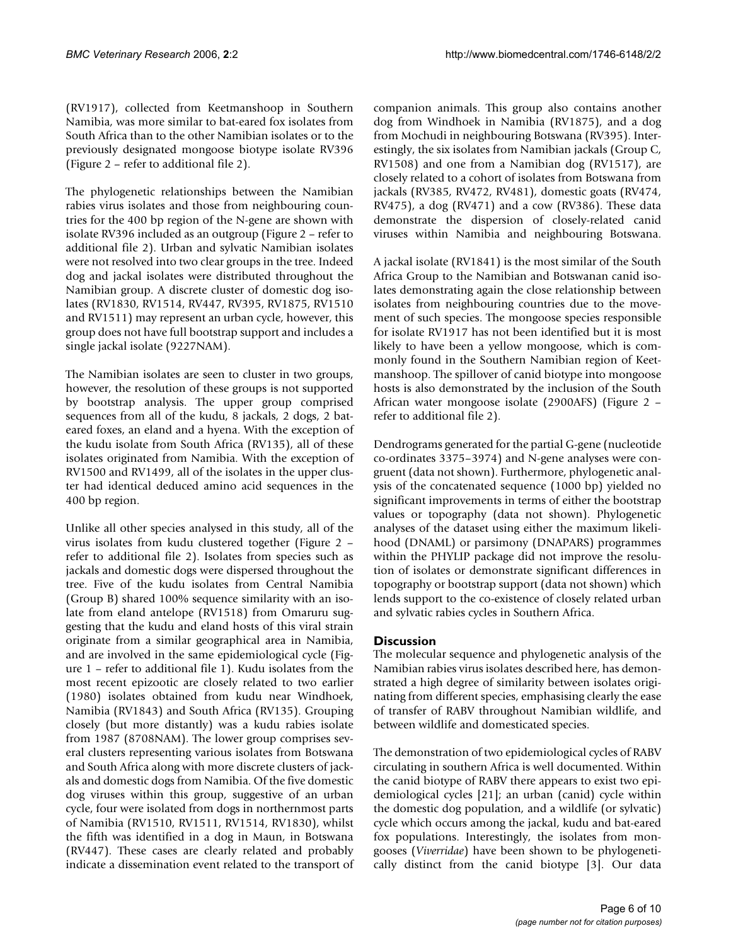(RV1917), collected from Keetmanshoop in Southern Namibia, was more similar to bat-eared fox isolates from South Africa than to the other Namibian isolates or to the previously designated mongoose biotype isolate RV396 (Figure 2 – refer to additional file 2).

The phylogenetic relationships between the Namibian rabies virus isolates and those from neighbouring countries for the 400 bp region of the N-gene are shown with isolate RV396 included as an outgroup (Figure 2 – refer to additional file 2). Urban and sylvatic Namibian isolates were not resolved into two clear groups in the tree. Indeed dog and jackal isolates were distributed throughout the Namibian group. A discrete cluster of domestic dog isolates (RV1830, RV1514, RV447, RV395, RV1875, RV1510 and RV1511) may represent an urban cycle, however, this group does not have full bootstrap support and includes a single jackal isolate (9227NAM).

The Namibian isolates are seen to cluster in two groups, however, the resolution of these groups is not supported by bootstrap analysis. The upper group comprised sequences from all of the kudu, 8 jackals, 2 dogs, 2 bateared foxes, an eland and a hyena. With the exception of the kudu isolate from South Africa (RV135), all of these isolates originated from Namibia. With the exception of RV1500 and RV1499, all of the isolates in the upper cluster had identical deduced amino acid sequences in the 400 bp region.

Unlike all other species analysed in this study, all of the virus isolates from kudu clustered together (Figure 2 – refer to additional file 2). Isolates from species such as jackals and domestic dogs were dispersed throughout the tree. Five of the kudu isolates from Central Namibia (Group B) shared 100% sequence similarity with an isolate from eland antelope (RV1518) from Omaruru suggesting that the kudu and eland hosts of this viral strain originate from a similar geographical area in Namibia, and are involved in the same epidemiological cycle (Figure 1 – refer to additional file 1). Kudu isolates from the most recent epizootic are closely related to two earlier (1980) isolates obtained from kudu near Windhoek, Namibia (RV1843) and South Africa (RV135). Grouping closely (but more distantly) was a kudu rabies isolate from 1987 (8708NAM). The lower group comprises several clusters representing various isolates from Botswana and South Africa along with more discrete clusters of jackals and domestic dogs from Namibia. Of the five domestic dog viruses within this group, suggestive of an urban cycle, four were isolated from dogs in northernmost parts of Namibia (RV1510, RV1511, RV1514, RV1830), whilst the fifth was identified in a dog in Maun, in Botswana (RV447). These cases are clearly related and probably indicate a dissemination event related to the transport of companion animals. This group also contains another dog from Windhoek in Namibia (RV1875), and a dog from Mochudi in neighbouring Botswana (RV395). Interestingly, the six isolates from Namibian jackals (Group C, RV1508) and one from a Namibian dog (RV1517), are closely related to a cohort of isolates from Botswana from jackals (RV385, RV472, RV481), domestic goats (RV474, RV475), a dog (RV471) and a cow (RV386). These data demonstrate the dispersion of closely-related canid viruses within Namibia and neighbouring Botswana.

A jackal isolate (RV1841) is the most similar of the South Africa Group to the Namibian and Botswanan canid isolates demonstrating again the close relationship between isolates from neighbouring countries due to the movement of such species. The mongoose species responsible for isolate RV1917 has not been identified but it is most likely to have been a yellow mongoose, which is commonly found in the Southern Namibian region of Keetmanshoop. The spillover of canid biotype into mongoose hosts is also demonstrated by the inclusion of the South African water mongoose isolate (2900AFS) (Figure 2 – refer to additional file 2).

Dendrograms generated for the partial G-gene (nucleotide co-ordinates 3375–3974) and N-gene analyses were congruent (data not shown). Furthermore, phylogenetic analysis of the concatenated sequence (1000 bp) yielded no significant improvements in terms of either the bootstrap values or topography (data not shown). Phylogenetic analyses of the dataset using either the maximum likelihood (DNAML) or parsimony (DNAPARS) programmes within the PHYLIP package did not improve the resolution of isolates or demonstrate significant differences in topography or bootstrap support (data not shown) which lends support to the co-existence of closely related urban and sylvatic rabies cycles in Southern Africa.

#### **Discussion**

The molecular sequence and phylogenetic analysis of the Namibian rabies virus isolates described here, has demonstrated a high degree of similarity between isolates originating from different species, emphasising clearly the ease of transfer of RABV throughout Namibian wildlife, and between wildlife and domesticated species.

The demonstration of two epidemiological cycles of RABV circulating in southern Africa is well documented. Within the canid biotype of RABV there appears to exist two epidemiological cycles [21]; an urban (canid) cycle within the domestic dog population, and a wildlife (or sylvatic) cycle which occurs among the jackal, kudu and bat-eared fox populations. Interestingly, the isolates from mongooses (*Viverridae*) have been shown to be phylogenetically distinct from the canid biotype [3]. Our data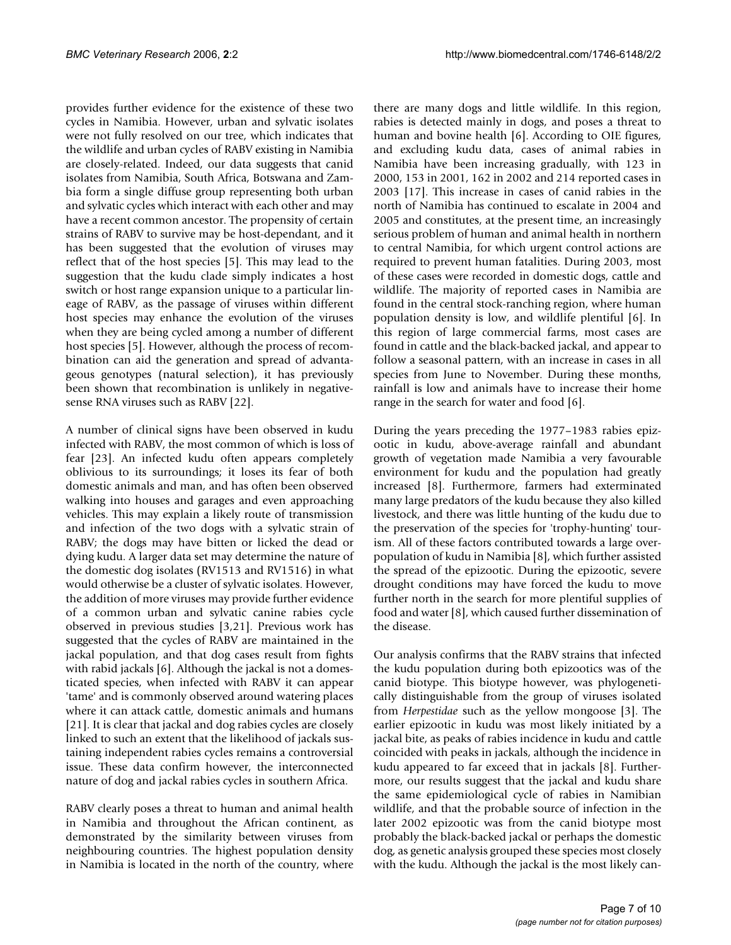provides further evidence for the existence of these two cycles in Namibia. However, urban and sylvatic isolates were not fully resolved on our tree, which indicates that the wildlife and urban cycles of RABV existing in Namibia are closely-related. Indeed, our data suggests that canid isolates from Namibia, South Africa, Botswana and Zambia form a single diffuse group representing both urban and sylvatic cycles which interact with each other and may have a recent common ancestor. The propensity of certain strains of RABV to survive may be host-dependant, and it has been suggested that the evolution of viruses may reflect that of the host species [5]. This may lead to the suggestion that the kudu clade simply indicates a host switch or host range expansion unique to a particular lineage of RABV, as the passage of viruses within different host species may enhance the evolution of the viruses when they are being cycled among a number of different host species [5]. However, although the process of recombination can aid the generation and spread of advantageous genotypes (natural selection), it has previously been shown that recombination is unlikely in negativesense RNA viruses such as RABV [22].

A number of clinical signs have been observed in kudu infected with RABV, the most common of which is loss of fear [23]. An infected kudu often appears completely oblivious to its surroundings; it loses its fear of both domestic animals and man, and has often been observed walking into houses and garages and even approaching vehicles. This may explain a likely route of transmission and infection of the two dogs with a sylvatic strain of RABV; the dogs may have bitten or licked the dead or dying kudu. A larger data set may determine the nature of the domestic dog isolates (RV1513 and RV1516) in what would otherwise be a cluster of sylvatic isolates. However, the addition of more viruses may provide further evidence of a common urban and sylvatic canine rabies cycle observed in previous studies [3,21]. Previous work has suggested that the cycles of RABV are maintained in the jackal population, and that dog cases result from fights with rabid jackals [6]. Although the jackal is not a domesticated species, when infected with RABV it can appear 'tame' and is commonly observed around watering places where it can attack cattle, domestic animals and humans [21]. It is clear that jackal and dog rabies cycles are closely linked to such an extent that the likelihood of jackals sustaining independent rabies cycles remains a controversial issue. These data confirm however, the interconnected nature of dog and jackal rabies cycles in southern Africa.

RABV clearly poses a threat to human and animal health in Namibia and throughout the African continent, as demonstrated by the similarity between viruses from neighbouring countries. The highest population density in Namibia is located in the north of the country, where

there are many dogs and little wildlife. In this region, rabies is detected mainly in dogs, and poses a threat to human and bovine health [6]. According to OIE figures, and excluding kudu data, cases of animal rabies in Namibia have been increasing gradually, with 123 in 2000, 153 in 2001, 162 in 2002 and 214 reported cases in 2003 [17]. This increase in cases of canid rabies in the north of Namibia has continued to escalate in 2004 and 2005 and constitutes, at the present time, an increasingly serious problem of human and animal health in northern to central Namibia, for which urgent control actions are required to prevent human fatalities. During 2003, most of these cases were recorded in domestic dogs, cattle and wildlife. The majority of reported cases in Namibia are found in the central stock-ranching region, where human population density is low, and wildlife plentiful [6]. In this region of large commercial farms, most cases are found in cattle and the black-backed jackal, and appear to follow a seasonal pattern, with an increase in cases in all species from June to November. During these months, rainfall is low and animals have to increase their home range in the search for water and food [6].

During the years preceding the 1977–1983 rabies epizootic in kudu, above-average rainfall and abundant growth of vegetation made Namibia a very favourable environment for kudu and the population had greatly increased [8]. Furthermore, farmers had exterminated many large predators of the kudu because they also killed livestock, and there was little hunting of the kudu due to the preservation of the species for 'trophy-hunting' tourism. All of these factors contributed towards a large overpopulation of kudu in Namibia [8], which further assisted the spread of the epizootic. During the epizootic, severe drought conditions may have forced the kudu to move further north in the search for more plentiful supplies of food and water [8], which caused further dissemination of the disease.

Our analysis confirms that the RABV strains that infected the kudu population during both epizootics was of the canid biotype. This biotype however, was phylogenetically distinguishable from the group of viruses isolated from *Herpestidae* such as the yellow mongoose [3]. The earlier epizootic in kudu was most likely initiated by a jackal bite, as peaks of rabies incidence in kudu and cattle coincided with peaks in jackals, although the incidence in kudu appeared to far exceed that in jackals [8]. Furthermore, our results suggest that the jackal and kudu share the same epidemiological cycle of rabies in Namibian wildlife, and that the probable source of infection in the later 2002 epizootic was from the canid biotype most probably the black-backed jackal or perhaps the domestic dog, as genetic analysis grouped these species most closely with the kudu. Although the jackal is the most likely can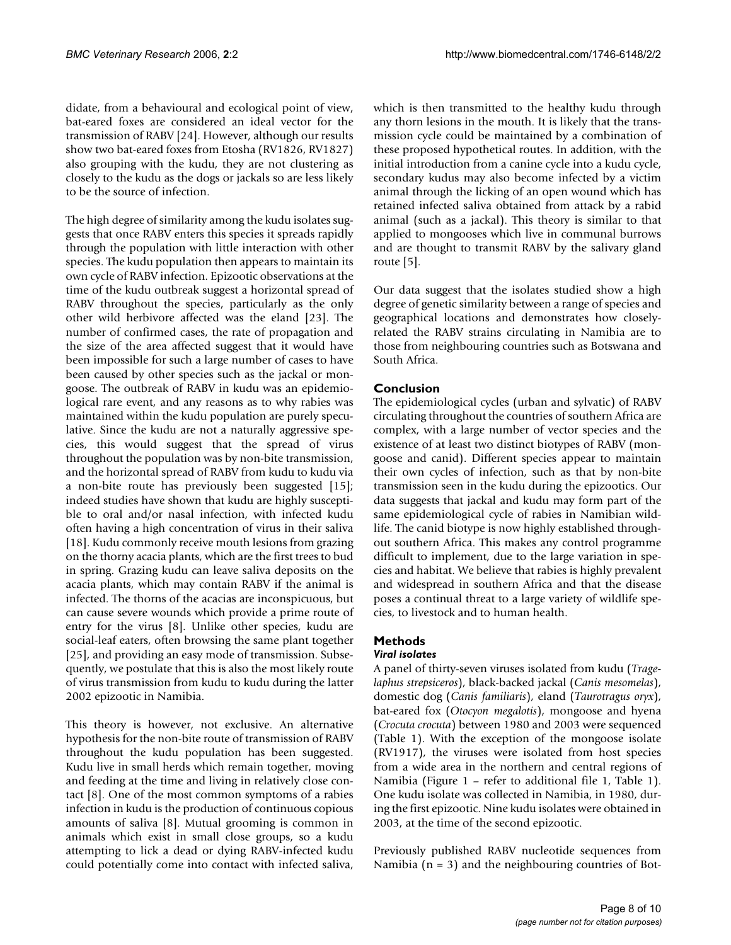didate, from a behavioural and ecological point of view, bat-eared foxes are considered an ideal vector for the transmission of RABV [24]. However, although our results show two bat-eared foxes from Etosha (RV1826, RV1827) also grouping with the kudu, they are not clustering as closely to the kudu as the dogs or jackals so are less likely to be the source of infection.

The high degree of similarity among the kudu isolates suggests that once RABV enters this species it spreads rapidly through the population with little interaction with other species. The kudu population then appears to maintain its own cycle of RABV infection. Epizootic observations at the time of the kudu outbreak suggest a horizontal spread of RABV throughout the species, particularly as the only other wild herbivore affected was the eland [23]. The number of confirmed cases, the rate of propagation and the size of the area affected suggest that it would have been impossible for such a large number of cases to have been caused by other species such as the jackal or mongoose. The outbreak of RABV in kudu was an epidemiological rare event, and any reasons as to why rabies was maintained within the kudu population are purely speculative. Since the kudu are not a naturally aggressive species, this would suggest that the spread of virus throughout the population was by non-bite transmission, and the horizontal spread of RABV from kudu to kudu via a non-bite route has previously been suggested [15]; indeed studies have shown that kudu are highly susceptible to oral and/or nasal infection, with infected kudu often having a high concentration of virus in their saliva [[18](#page-9-0)]. Kudu commonly receive mouth lesions from grazing on the thorny acacia plants, which are the first trees to bud in spring. Grazing kudu can leave saliva deposits on the acacia plants, which may contain RABV if the animal is infected. The thorns of the acacias are inconspicuous, but can cause severe wounds which provide a prime route of entry for the virus [8]. Unlike other species, kudu are social-leaf eaters, often browsing the same plant together [25], and providing an easy mode of transmission. Subsequently, we postulate that this is also the most likely route of virus transmission from kudu to kudu during the latter 2002 epizootic in Namibia.

This theory is however, not exclusive. An alternative hypothesis for the non-bite route of transmission of RABV throughout the kudu population has been suggested. Kudu live in small herds which remain together, moving and feeding at the time and living in relatively close contact [8]. One of the most common symptoms of a rabies infection in kudu is the production of continuous copious amounts of saliva [8]. Mutual grooming is common in animals which exist in small close groups, so a kudu attempting to lick a dead or dying RABV-infected kudu could potentially come into contact with infected saliva,

which is then transmitted to the healthy kudu through any thorn lesions in the mouth. It is likely that the transmission cycle could be maintained by a combination of these proposed hypothetical routes. In addition, with the initial introduction from a canine cycle into a kudu cycle, secondary kudus may also become infected by a victim animal through the licking of an open wound which has retained infected saliva obtained from attack by a rabid animal (such as a jackal). This theory is similar to that applied to mongooses which live in communal burrows and are thought to transmit RABV by the salivary gland route [5].

Our data suggest that the isolates studied show a high degree of genetic similarity between a range of species and geographical locations and demonstrates how closelyrelated the RABV strains circulating in Namibia are to those from neighbouring countries such as Botswana and South Africa.

#### **Conclusion**

The epidemiological cycles (urban and sylvatic) of RABV circulating throughout the countries of southern Africa are complex, with a large number of vector species and the existence of at least two distinct biotypes of RABV (mongoose and canid). Different species appear to maintain their own cycles of infection, such as that by non-bite transmission seen in the kudu during the epizootics. Our data suggests that jackal and kudu may form part of the same epidemiological cycle of rabies in Namibian wildlife. The canid biotype is now highly established throughout southern Africa. This makes any control programme difficult to implement, due to the large variation in species and habitat. We believe that rabies is highly prevalent and widespread in southern Africa and that the disease poses a continual threat to a large variety of wildlife species, to livestock and to human health.

#### **Methods**

#### *Viral isolates*

A panel of thirty-seven viruses isolated from kudu (*Tragelaphus strepsiceros*), black-backed jackal (*Canis mesomelas*), domestic dog (*Canis familiaris*), eland (*Taurotragus oryx*), bat-eared fox (*Otocyon megalotis*), mongoose and hyena (*Crocuta crocuta*) between 1980 and 2003 were sequenced (Table 1). With the exception of the mongoose isolate (RV1917), the viruses were isolated from host species from a wide area in the northern and central regions of Namibia (Figure 1 – refer to additional file 1, Table 1). One kudu isolate was collected in Namibia, in 1980, during the first epizootic. Nine kudu isolates were obtained in 2003, at the time of the second epizootic.

Previously published RABV nucleotide sequences from Namibia ( $n = 3$ ) and the neighbouring countries of Bot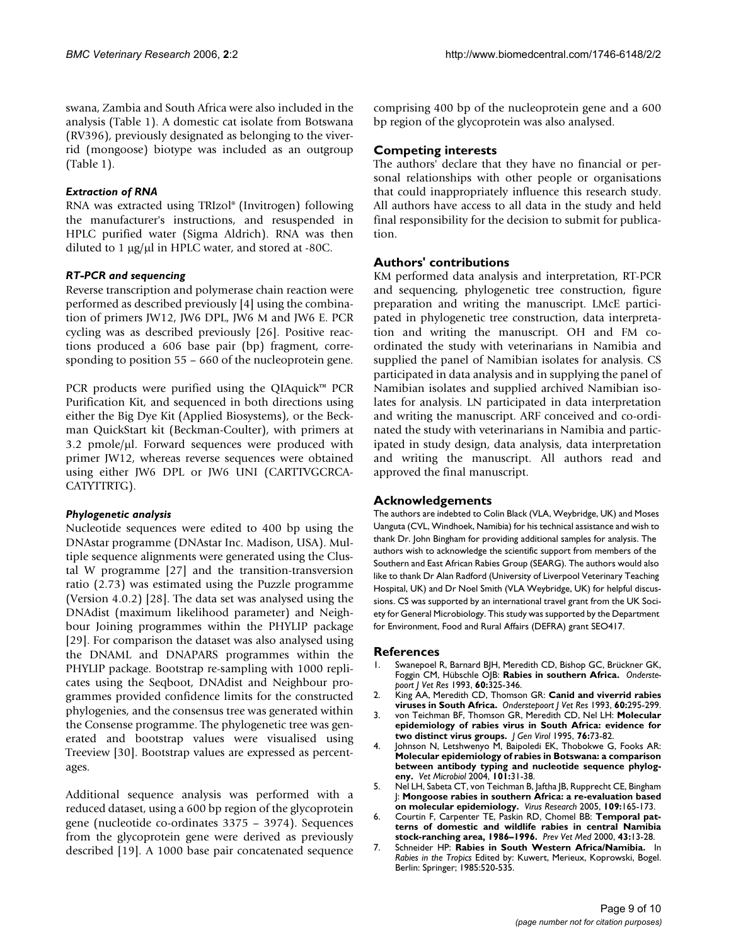swana, Zambia and South Africa were also included in the analysis (Table 1). A domestic cat isolate from Botswana (RV396), previously designated as belonging to the viverrid (mongoose) biotype was included as an outgroup (Table 1).

#### *Extraction of RNA*

RNA was extracted using TRIzol® (Invitrogen) following the manufacturer's instructions, and resuspended in HPLC purified water (Sigma Aldrich). RNA was then diluted to 1 µg/µl in HPLC water, and stored at -80C.

#### *RT-PCR and sequencing*

Reverse transcription and polymerase chain reaction were performed as described previously [4] using the combination of primers JW12, JW6 DPL, JW6 M and JW6 E. PCR cycling was as described previously [26]. Positive reactions produced a 606 base pair (bp) fragment, corresponding to position 55 – 660 of the nucleoprotein gene.

PCR products were purified using the QIAquick™ PCR Purification Kit, and sequenced in both directions using either the Big Dye Kit (Applied Biosystems), or the Beckman QuickStart kit (Beckman-Coulter), with primers at  $3.2$  pmole/ $\mu$ l. Forward sequences were produced with primer JW12, whereas reverse sequences were obtained using either JW6 DPL or JW6 UNI (CARTTVGCRCA-CATYTTRTG).

#### *Phylogenetic analysis*

Nucleotide sequences were edited to 400 bp using the DNAstar programme (DNAstar Inc. Madison, USA). Multiple sequence alignments were generated using the Clustal W programme [27] and the transition-transversion ratio (2.73) was estimated using the Puzzle programme (Version 4.0.2) [28]. The data set was analysed using the DNAdist (maximum likelihood parameter) and Neighbour Joining programmes within the PHYLIP package [29]. For comparison the dataset was also analysed using the DNAML and DNAPARS programmes within the PHYLIP package. Bootstrap re-sampling with 1000 replicates using the Seqboot, DNAdist and Neighbour programmes provided confidence limits for the constructed phylogenies, and the consensus tree was generated within the Consense programme. The phylogenetic tree was generated and bootstrap values were visualised using Treeview [30]. Bootstrap values are expressed as percentages.

Additional sequence analysis was performed with a reduced dataset, using a 600 bp region of the glycoprotein gene (nucleotide co-ordinates 3375 – 3974). Sequences from the glycoprotein gene were derived as previously described [19]. A 1000 base pair concatenated sequence comprising 400 bp of the nucleoprotein gene and a 600 bp region of the glycoprotein was also analysed.

#### **Competing interests**

The authors' declare that they have no financial or personal relationships with other people or organisations that could inappropriately influence this research study. All authors have access to all data in the study and held final responsibility for the decision to submit for publication.

#### **Authors' contributions**

KM performed data analysis and interpretation, RT-PCR and sequencing, phylogenetic tree construction, figure preparation and writing the manuscript. LMcE participated in phylogenetic tree construction, data interpretation and writing the manuscript. OH and FM coordinated the study with veterinarians in Namibia and supplied the panel of Namibian isolates for analysis. CS participated in data analysis and in supplying the panel of Namibian isolates and supplied archived Namibian isolates for analysis. LN participated in data interpretation and writing the manuscript. ARF conceived and co-ordinated the study with veterinarians in Namibia and participated in study design, data analysis, data interpretation and writing the manuscript. All authors read and approved the final manuscript.

#### **Acknowledgements**

The authors are indebted to Colin Black (VLA, Weybridge, UK) and Moses Uanguta (CVL, Windhoek, Namibia) for his technical assistance and wish to thank Dr. John Bingham for providing additional samples for analysis. The authors wish to acknowledge the scientific support from members of the Southern and East African Rabies Group (SEARG). The authors would also like to thank Dr Alan Radford (University of Liverpool Veterinary Teaching Hospital, UK) and Dr Noel Smith (VLA Weybridge, UK) for helpful discussions. CS was supported by an international travel grant from the UK Society for General Microbiology. This study was supported by the Department for Environment, Food and Rural Affairs (DEFRA) grant SEO417.

#### **References**

- 1. Swanepoel R, Barnard BJH, Meredith CD, Bishop GC, Brückner GK, Foggin CM, Hübschle OJB: **[Rabies in southern Africa.](http://www.ncbi.nlm.nih.gov/entrez/query.fcgi?cmd=Retrieve&db=PubMed&dopt=Abstract&list_uids=7777317)** *Onderstepoort J Vet Res* 1993, **60:**325-346.
- 2. King AA, Meredith CD, Thomson GR: **[Canid and viverrid rabies](http://www.ncbi.nlm.nih.gov/entrez/query.fcgi?cmd=Retrieve&db=PubMed&dopt=Abstract&list_uids=7777314) [viruses in South Africa.](http://www.ncbi.nlm.nih.gov/entrez/query.fcgi?cmd=Retrieve&db=PubMed&dopt=Abstract&list_uids=7777314)** *Onderstepoort J Vet Res* 1993, **60:**295-299.
- 3. von Teichman BF, Thomson GR, Meredith CD, Nel LH: **[Molecular](http://www.ncbi.nlm.nih.gov/entrez/query.fcgi?cmd=Retrieve&db=PubMed&dopt=Abstract&list_uids=7844544) [epidemiology of rabies virus in South Africa: evidence for](http://www.ncbi.nlm.nih.gov/entrez/query.fcgi?cmd=Retrieve&db=PubMed&dopt=Abstract&list_uids=7844544) [two distinct virus groups.](http://www.ncbi.nlm.nih.gov/entrez/query.fcgi?cmd=Retrieve&db=PubMed&dopt=Abstract&list_uids=7844544)** *J Gen Virol* 1995, **76:**73-82.
- 4. Johnson N, Letshwenyo M, Baipoledi EK, Thobokwe G, Fooks AR: **Molecular epidemiology of rabies in Botswana: a comparison [between antibody typing and nucleotide sequence phylog](http://www.ncbi.nlm.nih.gov/entrez/query.fcgi?cmd=Retrieve&db=PubMed&dopt=Abstract&list_uids=15201031)[eny.](http://www.ncbi.nlm.nih.gov/entrez/query.fcgi?cmd=Retrieve&db=PubMed&dopt=Abstract&list_uids=15201031)** *Vet Microbiol* 2004, **101:**31-38.
- 5. Nel LH, Sabeta CT, von Teichman B, Jaftha JB, Rupprecht CE, Bingham J: **[Mongoose rabies in southern Africa: a re-evaluation based](http://www.ncbi.nlm.nih.gov/entrez/query.fcgi?cmd=Retrieve&db=PubMed&dopt=Abstract&list_uids=15763147) [on molecular epidemiology.](http://www.ncbi.nlm.nih.gov/entrez/query.fcgi?cmd=Retrieve&db=PubMed&dopt=Abstract&list_uids=15763147)** *Virus Research* 2005, **109:**165-173.
- 6. Courtin F, Carpenter TE, Paskin RD, Chomel BB: **[Temporal pat](http://www.ncbi.nlm.nih.gov/entrez/query.fcgi?cmd=Retrieve&db=PubMed&dopt=Abstract&list_uids=10665948)[terns of domestic and wildlife rabies in central Namibia](http://www.ncbi.nlm.nih.gov/entrez/query.fcgi?cmd=Retrieve&db=PubMed&dopt=Abstract&list_uids=10665948) [stock-ranching area, 1986–1996.](http://www.ncbi.nlm.nih.gov/entrez/query.fcgi?cmd=Retrieve&db=PubMed&dopt=Abstract&list_uids=10665948)** *Prev Vet Med* 2000, **43:**13-28.
- 7. Schneider HP: **Rabies in South Western Africa/Namibia.** In *Rabies in the Tropics* Edited by: Kuwert, Merieux, Koprowski, Bogel. Berlin: Springer; 1985:520-535.